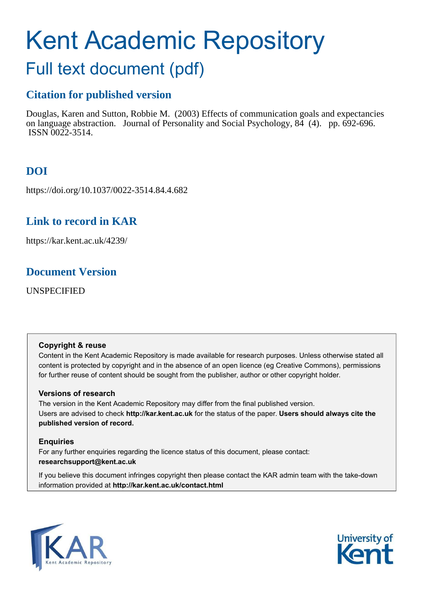# Kent Academic Repository

# Full text document (pdf)

# **Citation for published version**

Douglas, Karen and Sutton, Robbie M. (2003) Effects of communication goals and expectancies on language abstraction. Journal of Personality and Social Psychology, 84 (4). pp. 692-696. ISSN 0022-3514.

# **DOI**

https://doi.org/10.1037/0022-3514.84.4.682

# **Link to record in KAR**

https://kar.kent.ac.uk/4239/

# **Document Version**

UNSPECIFIED

# **Copyright & reuse**

Content in the Kent Academic Repository is made available for research purposes. Unless otherwise stated all content is protected by copyright and in the absence of an open licence (eg Creative Commons), permissions for further reuse of content should be sought from the publisher, author or other copyright holder.

# **Versions of research**

The version in the Kent Academic Repository may differ from the final published version. Users are advised to check **http://kar.kent.ac.uk** for the status of the paper. **Users should always cite the published version of record.**

# **Enquiries**

For any further enquiries regarding the licence status of this document, please contact: **researchsupport@kent.ac.uk**

If you believe this document infringes copyright then please contact the KAR admin team with the take-down information provided at **http://kar.kent.ac.uk/contact.html**



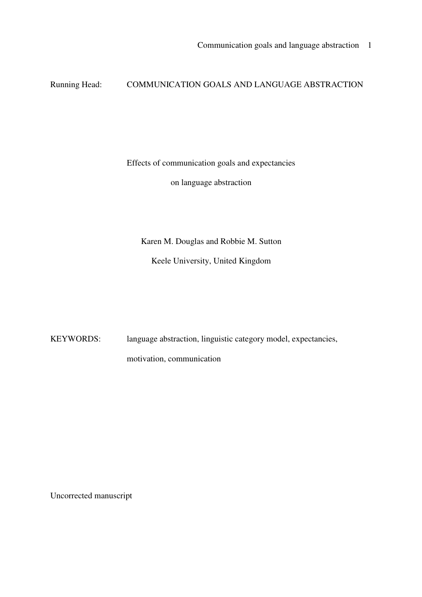# Running Head: COMMUNICATION GOALS AND LANGUAGE ABSTRACTION

Effects of communication goals and expectancies

on language abstraction

Karen M. Douglas and Robbie M. Sutton

Keele University, United Kingdom

KEYWORDS: language abstraction, linguistic category model, expectancies, motivation, communication

Uncorrected manuscript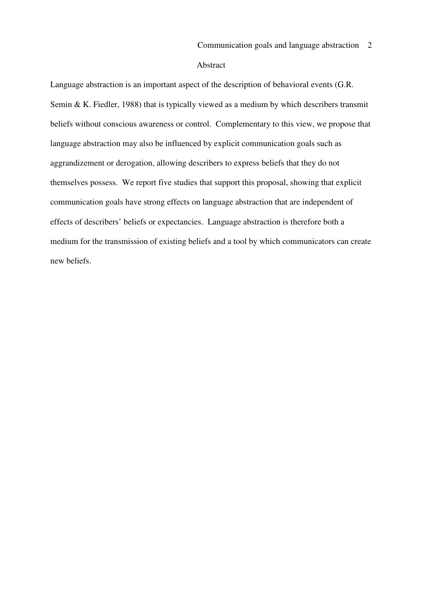#### Abstract

Language abstraction is an important aspect of the description of behavioral events (G.R. Semin & K. Fiedler, 1988) that is typically viewed as a medium by which describers transmit beliefs without conscious awareness or control. Complementary to this view, we propose that language abstraction may also be influenced by explicit communication goals such as aggrandizement or derogation, allowing describers to express beliefs that they do not themselves possess. We report five studies that support this proposal, showing that explicit communication goals have strong effects on language abstraction that are independent of effects of describers' beliefs or expectancies. Language abstraction is therefore both a medium for the transmission of existing beliefs and a tool by which communicators can create new beliefs.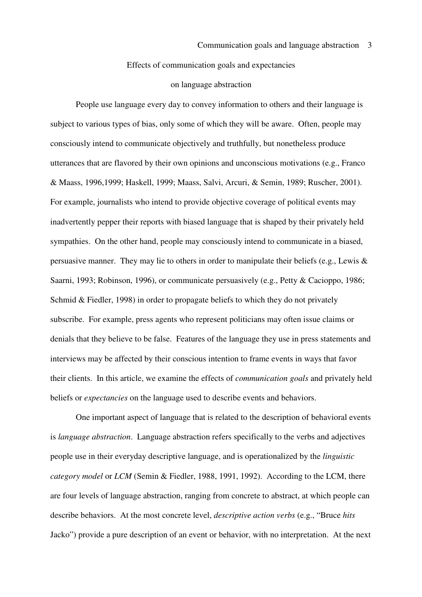#### Effects of communication goals and expectancies

#### on language abstraction

 People use language every day to convey information to others and their language is subject to various types of bias, only some of which they will be aware. Often, people may consciously intend to communicate objectively and truthfully, but nonetheless produce utterances that are flavored by their own opinions and unconscious motivations (e.g., Franco & Maass, 1996,1999; Haskell, 1999; Maass, Salvi, Arcuri, & Semin, 1989; Ruscher, 2001). For example, journalists who intend to provide objective coverage of political events may inadvertently pepper their reports with biased language that is shaped by their privately held sympathies. On the other hand, people may consciously intend to communicate in a biased, persuasive manner. They may lie to others in order to manipulate their beliefs (e.g., Lewis & Saarni, 1993; Robinson, 1996), or communicate persuasively (e.g., Petty & Cacioppo, 1986; Schmid & Fiedler, 1998) in order to propagate beliefs to which they do not privately subscribe. For example, press agents who represent politicians may often issue claims or denials that they believe to be false. Features of the language they use in press statements and interviews may be affected by their conscious intention to frame events in ways that favor their clients. In this article, we examine the effects of *communication goals* and privately held beliefs or *expectancies* on the language used to describe events and behaviors.

 One important aspect of language that is related to the description of behavioral events is *language abstraction*. Language abstraction refers specifically to the verbs and adjectives people use in their everyday descriptive language, and is operationalized by the *linguistic category model* or *LCM* (Semin & Fiedler, 1988, 1991, 1992). According to the LCM, there are four levels of language abstraction, ranging from concrete to abstract, at which people can describe behaviors. At the most concrete level, *descriptive action verbs* (e.g., "Bruce *hits* Jacko") provide a pure description of an event or behavior, with no interpretation. At the next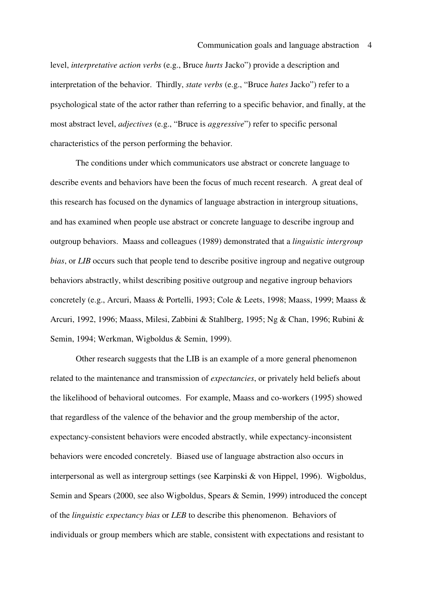level, *interpretative action verbs* (e.g., Bruce *hurts* Jacko") provide a description and interpretation of the behavior. Thirdly, *state verbs* (e.g., "Bruce *hates* Jacko") refer to a psychological state of the actor rather than referring to a specific behavior, and finally, at the most abstract level, *adjectives* (e.g., "Bruce is *aggressive*") refer to specific personal characteristics of the person performing the behavior.

 The conditions under which communicators use abstract or concrete language to describe events and behaviors have been the focus of much recent research. A great deal of this research has focused on the dynamics of language abstraction in intergroup situations, and has examined when people use abstract or concrete language to describe ingroup and outgroup behaviors. Maass and colleagues (1989) demonstrated that a *linguistic intergroup bias*, or *LIB* occurs such that people tend to describe positive ingroup and negative outgroup behaviors abstractly, whilst describing positive outgroup and negative ingroup behaviors concretely (e.g., Arcuri, Maass & Portelli, 1993; Cole & Leets, 1998; Maass, 1999; Maass & Arcuri, 1992, 1996; Maass, Milesi, Zabbini & Stahlberg, 1995; Ng & Chan, 1996; Rubini & Semin, 1994; Werkman, Wigboldus & Semin, 1999).

Other research suggests that the LIB is an example of a more general phenomenon related to the maintenance and transmission of *expectancies*, or privately held beliefs about the likelihood of behavioral outcomes. For example, Maass and co-workers (1995) showed that regardless of the valence of the behavior and the group membership of the actor, expectancy-consistent behaviors were encoded abstractly, while expectancy-inconsistent behaviors were encoded concretely. Biased use of language abstraction also occurs in interpersonal as well as intergroup settings (see Karpinski & von Hippel, 1996). Wigboldus, Semin and Spears (2000, see also Wigboldus, Spears & Semin, 1999) introduced the concept of the *linguistic expectancy bias* or *LEB* to describe this phenomenon. Behaviors of individuals or group members which are stable, consistent with expectations and resistant to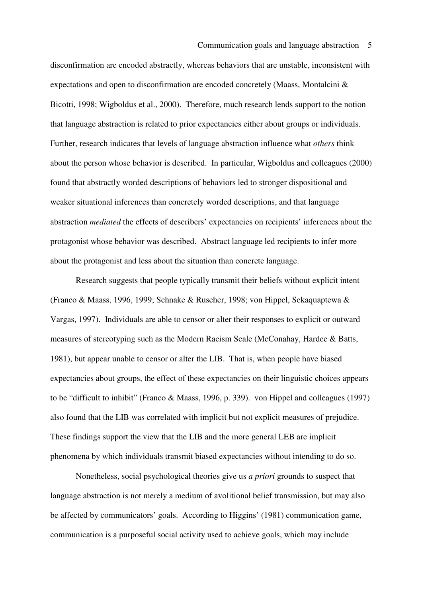disconfirmation are encoded abstractly, whereas behaviors that are unstable, inconsistent with expectations and open to disconfirmation are encoded concretely (Maass, Montalcini & Bicotti, 1998; Wigboldus et al., 2000). Therefore, much research lends support to the notion that language abstraction is related to prior expectancies either about groups or individuals. Further, research indicates that levels of language abstraction influence what *others* think about the person whose behavior is described. In particular, Wigboldus and colleagues (2000) found that abstractly worded descriptions of behaviors led to stronger dispositional and weaker situational inferences than concretely worded descriptions, and that language abstraction *mediated* the effects of describers' expectancies on recipients' inferences about the protagonist whose behavior was described. Abstract language led recipients to infer more about the protagonist and less about the situation than concrete language.

Research suggests that people typically transmit their beliefs without explicit intent (Franco & Maass, 1996, 1999; Schnake & Ruscher, 1998; von Hippel, Sekaquaptewa & Vargas, 1997). Individuals are able to censor or alter their responses to explicit or outward measures of stereotyping such as the Modern Racism Scale (McConahay, Hardee & Batts, 1981), but appear unable to censor or alter the LIB. That is, when people have biased expectancies about groups, the effect of these expectancies on their linguistic choices appears to be "difficult to inhibit" (Franco & Maass, 1996, p. 339). von Hippel and colleagues (1997) also found that the LIB was correlated with implicit but not explicit measures of prejudice. These findings support the view that the LIB and the more general LEB are implicit phenomena by which individuals transmit biased expectancies without intending to do so.

Nonetheless, social psychological theories give us *a priori* grounds to suspect that language abstraction is not merely a medium of avolitional belief transmission, but may also be affected by communicators' goals. According to Higgins' (1981) communication game, communication is a purposeful social activity used to achieve goals, which may include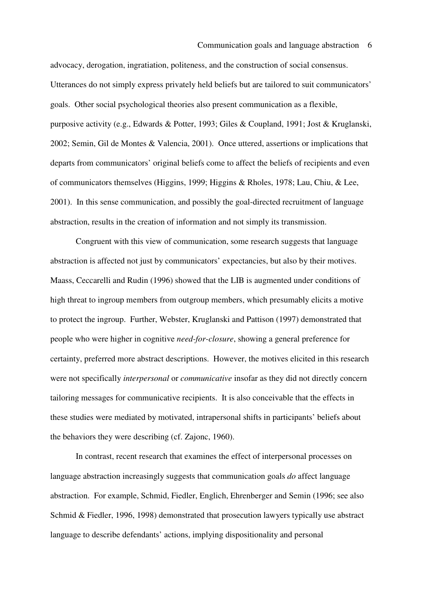advocacy, derogation, ingratiation, politeness, and the construction of social consensus. Utterances do not simply express privately held beliefs but are tailored to suit communicators' goals. Other social psychological theories also present communication as a flexible, purposive activity (e.g., Edwards & Potter, 1993; Giles & Coupland, 1991; Jost & Kruglanski, 2002; Semin, Gil de Montes & Valencia, 2001). Once uttered, assertions or implications that departs from communicators' original beliefs come to affect the beliefs of recipients and even of communicators themselves (Higgins, 1999; Higgins & Rholes, 1978; Lau, Chiu, & Lee, 2001). In this sense communication, and possibly the goal-directed recruitment of language abstraction, results in the creation of information and not simply its transmission.

Congruent with this view of communication, some research suggests that language abstraction is affected not just by communicators' expectancies, but also by their motives. Maass, Ceccarelli and Rudin (1996) showed that the LIB is augmented under conditions of high threat to ingroup members from outgroup members, which presumably elicits a motive to protect the ingroup. Further, Webster, Kruglanski and Pattison (1997) demonstrated that people who were higher in cognitive *need-for-closure*, showing a general preference for certainty, preferred more abstract descriptions. However, the motives elicited in this research were not specifically *interpersonal* or *communicative* insofar as they did not directly concern tailoring messages for communicative recipients. It is also conceivable that the effects in these studies were mediated by motivated, intrapersonal shifts in participants' beliefs about the behaviors they were describing (cf. Zajonc, 1960).

In contrast, recent research that examines the effect of interpersonal processes on language abstraction increasingly suggests that communication goals *do* affect language abstraction. For example, Schmid, Fiedler, Englich, Ehrenberger and Semin (1996; see also Schmid & Fiedler, 1996, 1998) demonstrated that prosecution lawyers typically use abstract language to describe defendants' actions, implying dispositionality and personal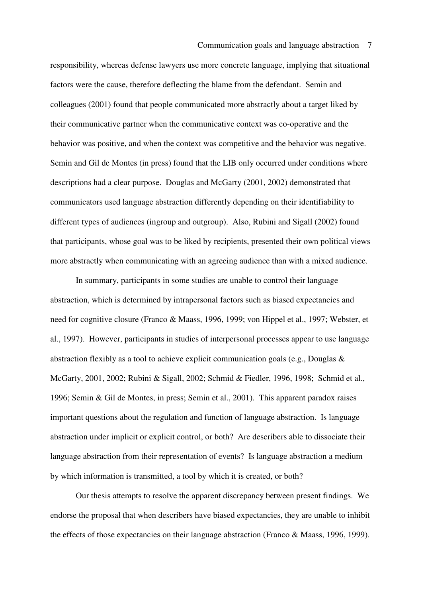responsibility, whereas defense lawyers use more concrete language, implying that situational factors were the cause, therefore deflecting the blame from the defendant. Semin and colleagues (2001) found that people communicated more abstractly about a target liked by their communicative partner when the communicative context was co-operative and the behavior was positive, and when the context was competitive and the behavior was negative. Semin and Gil de Montes (in press) found that the LIB only occurred under conditions where descriptions had a clear purpose. Douglas and McGarty (2001, 2002) demonstrated that communicators used language abstraction differently depending on their identifiability to different types of audiences (ingroup and outgroup). Also, Rubini and Sigall (2002) found that participants, whose goal was to be liked by recipients, presented their own political views more abstractly when communicating with an agreeing audience than with a mixed audience.

In summary, participants in some studies are unable to control their language abstraction, which is determined by intrapersonal factors such as biased expectancies and need for cognitive closure (Franco & Maass, 1996, 1999; von Hippel et al., 1997; Webster, et al., 1997). However, participants in studies of interpersonal processes appear to use language abstraction flexibly as a tool to achieve explicit communication goals (e.g., Douglas & McGarty, 2001, 2002; Rubini & Sigall, 2002; Schmid & Fiedler, 1996, 1998; Schmid et al., 1996; Semin & Gil de Montes, in press; Semin et al., 2001). This apparent paradox raises important questions about the regulation and function of language abstraction. Is language abstraction under implicit or explicit control, or both? Are describers able to dissociate their language abstraction from their representation of events? Is language abstraction a medium by which information is transmitted, a tool by which it is created, or both?

Our thesis attempts to resolve the apparent discrepancy between present findings. We endorse the proposal that when describers have biased expectancies, they are unable to inhibit the effects of those expectancies on their language abstraction (Franco & Maass, 1996, 1999).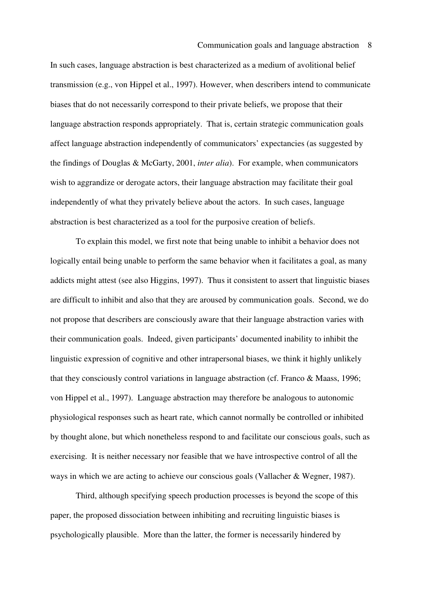#### Communication goals and language abstraction 8

In such cases, language abstraction is best characterized as a medium of avolitional belief transmission (e.g., von Hippel et al., 1997). However, when describers intend to communicate biases that do not necessarily correspond to their private beliefs, we propose that their language abstraction responds appropriately. That is, certain strategic communication goals affect language abstraction independently of communicators' expectancies (as suggested by the findings of Douglas & McGarty, 2001, *inter alia*). For example, when communicators wish to aggrandize or derogate actors, their language abstraction may facilitate their goal independently of what they privately believe about the actors. In such cases, language abstraction is best characterized as a tool for the purposive creation of beliefs.

To explain this model, we first note that being unable to inhibit a behavior does not logically entail being unable to perform the same behavior when it facilitates a goal, as many addicts might attest (see also Higgins, 1997). Thus it consistent to assert that linguistic biases are difficult to inhibit and also that they are aroused by communication goals. Second, we do not propose that describers are consciously aware that their language abstraction varies with their communication goals. Indeed, given participants' documented inability to inhibit the linguistic expression of cognitive and other intrapersonal biases, we think it highly unlikely that they consciously control variations in language abstraction (cf. Franco & Maass, 1996; von Hippel et al., 1997). Language abstraction may therefore be analogous to autonomic physiological responses such as heart rate, which cannot normally be controlled or inhibited by thought alone, but which nonetheless respond to and facilitate our conscious goals, such as exercising. It is neither necessary nor feasible that we have introspective control of all the ways in which we are acting to achieve our conscious goals (Vallacher & Wegner, 1987).

Third, although specifying speech production processes is beyond the scope of this paper, the proposed dissociation between inhibiting and recruiting linguistic biases is psychologically plausible. More than the latter, the former is necessarily hindered by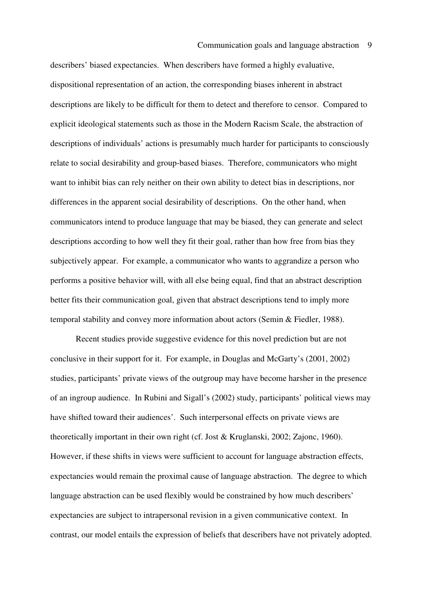describers' biased expectancies. When describers have formed a highly evaluative, dispositional representation of an action, the corresponding biases inherent in abstract descriptions are likely to be difficult for them to detect and therefore to censor. Compared to explicit ideological statements such as those in the Modern Racism Scale, the abstraction of descriptions of individuals' actions is presumably much harder for participants to consciously relate to social desirability and group-based biases. Therefore, communicators who might want to inhibit bias can rely neither on their own ability to detect bias in descriptions, nor differences in the apparent social desirability of descriptions. On the other hand, when communicators intend to produce language that may be biased, they can generate and select descriptions according to how well they fit their goal, rather than how free from bias they subjectively appear. For example, a communicator who wants to aggrandize a person who performs a positive behavior will, with all else being equal, find that an abstract description better fits their communication goal, given that abstract descriptions tend to imply more temporal stability and convey more information about actors (Semin & Fiedler, 1988).

Recent studies provide suggestive evidence for this novel prediction but are not conclusive in their support for it. For example, in Douglas and McGarty's (2001, 2002) studies, participants' private views of the outgroup may have become harsher in the presence of an ingroup audience. In Rubini and Sigall's (2002) study, participants' political views may have shifted toward their audiences'. Such interpersonal effects on private views are theoretically important in their own right (cf. Jost & Kruglanski, 2002; Zajonc, 1960). However, if these shifts in views were sufficient to account for language abstraction effects, expectancies would remain the proximal cause of language abstraction. The degree to which language abstraction can be used flexibly would be constrained by how much describers' expectancies are subject to intrapersonal revision in a given communicative context. In contrast, our model entails the expression of beliefs that describers have not privately adopted.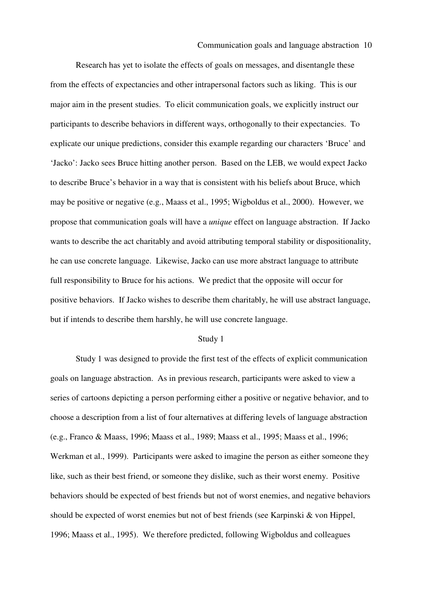#### Communication goals and language abstraction 10

Research has yet to isolate the effects of goals on messages, and disentangle these from the effects of expectancies and other intrapersonal factors such as liking. This is our major aim in the present studies. To elicit communication goals, we explicitly instruct our participants to describe behaviors in different ways, orthogonally to their expectancies. To explicate our unique predictions, consider this example regarding our characters 'Bruce' and 'Jacko': Jacko sees Bruce hitting another person. Based on the LEB, we would expect Jacko to describe Bruce's behavior in a way that is consistent with his beliefs about Bruce, which may be positive or negative (e.g., Maass et al., 1995; Wigboldus et al., 2000). However, we propose that communication goals will have a *unique* effect on language abstraction. If Jacko wants to describe the act charitably and avoid attributing temporal stability or dispositionality, he can use concrete language. Likewise, Jacko can use more abstract language to attribute full responsibility to Bruce for his actions. We predict that the opposite will occur for positive behaviors. If Jacko wishes to describe them charitably, he will use abstract language, but if intends to describe them harshly, he will use concrete language.

#### Study 1

Study 1 was designed to provide the first test of the effects of explicit communication goals on language abstraction. As in previous research, participants were asked to view a series of cartoons depicting a person performing either a positive or negative behavior, and to choose a description from a list of four alternatives at differing levels of language abstraction (e.g., Franco & Maass, 1996; Maass et al., 1989; Maass et al., 1995; Maass et al., 1996; Werkman et al., 1999). Participants were asked to imagine the person as either someone they like, such as their best friend, or someone they dislike, such as their worst enemy. Positive behaviors should be expected of best friends but not of worst enemies, and negative behaviors should be expected of worst enemies but not of best friends (see Karpinski & von Hippel, 1996; Maass et al., 1995). We therefore predicted, following Wigboldus and colleagues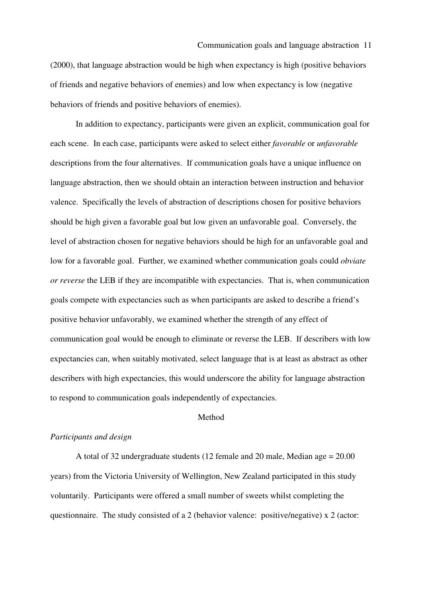#### Communication goals and language abstraction 11

(2000), that language abstraction would be high when expectancy is high (positive behaviors of friends and negative behaviors of enemies) and low when expectancy is low (negative behaviors of friends and positive behaviors of enemies).

In addition to expectancy, participants were given an explicit, communication goal for each scene. In each case, participants were asked to select either *favorable* or *unfavorable* descriptions from the four alternatives. If communication goals have a unique influence on language abstraction, then we should obtain an interaction between instruction and behavior valence. Specifically the levels of abstraction of descriptions chosen for positive behaviors should be high given a favorable goal but low given an unfavorable goal. Conversely, the level of abstraction chosen for negative behaviors should be high for an unfavorable goal and low for a favorable goal. Further, we examined whether communication goals could *obviate or reverse* the LEB if they are incompatible with expectancies. That is, when communication goals compete with expectancies such as when participants are asked to describe a friend's positive behavior unfavorably, we examined whether the strength of any effect of communication goal would be enough to eliminate or reverse the LEB. If describers with low expectancies can, when suitably motivated, select language that is at least as abstract as other describers with high expectancies, this would underscore the ability for language abstraction to respond to communication goals independently of expectancies.

#### Method

#### *Participants and design*

A total of 32 undergraduate students (12 female and 20 male, Median age = 20.00 years) from the Victoria University of Wellington, New Zealand participated in this study voluntarily. Participants were offered a small number of sweets whilst completing the questionnaire. The study consisted of a 2 (behavior valence: positive/negative) x 2 (actor: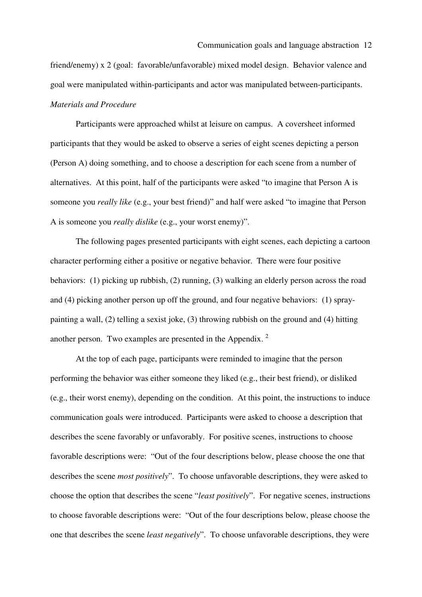friend/enemy) x 2 (goal: favorable/unfavorable) mixed model design. Behavior valence and goal were manipulated within-participants and actor was manipulated between-participants. *Materials and Procedure* 

 Participants were approached whilst at leisure on campus. A coversheet informed participants that they would be asked to observe a series of eight scenes depicting a person (Person A) doing something, and to choose a description for each scene from a number of alternatives. At this point, half of the participants were asked "to imagine that Person A is someone you *really like* (e.g., your best friend)" and half were asked "to imagine that Person A is someone you *really dislike* (e.g., your worst enemy)".

 The following pages presented participants with eight scenes, each depicting a cartoon character performing either a positive or negative behavior. There were four positive behaviors: (1) picking up rubbish, (2) running, (3) walking an elderly person across the road and (4) picking another person up off the ground, and four negative behaviors: (1) spraypainting a wall, (2) telling a sexist joke, (3) throwing rubbish on the ground and (4) hitting another person. Two examples are presented in the Appendix. <sup>2</sup>

 At the top of each page, participants were reminded to imagine that the person performing the behavior was either someone they liked (e.g., their best friend), or disliked (e.g., their worst enemy), depending on the condition. At this point, the instructions to induce communication goals were introduced. Participants were asked to choose a description that describes the scene favorably or unfavorably. For positive scenes, instructions to choose favorable descriptions were: "Out of the four descriptions below, please choose the one that describes the scene *most positively*". To choose unfavorable descriptions, they were asked to choose the option that describes the scene "*least positively*". For negative scenes, instructions to choose favorable descriptions were: "Out of the four descriptions below, please choose the one that describes the scene *least negatively*". To choose unfavorable descriptions, they were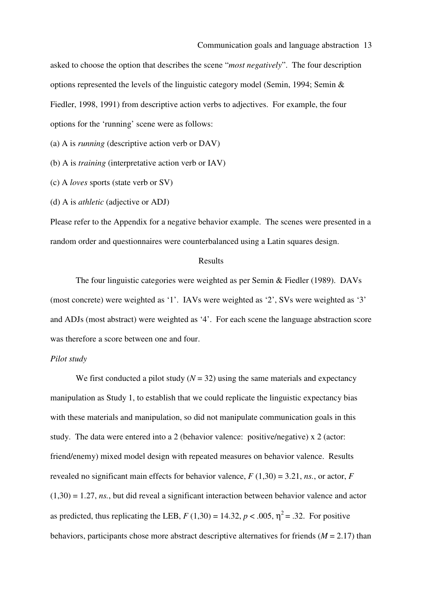asked to choose the option that describes the scene "*most negatively*". The four description options represented the levels of the linguistic category model (Semin, 1994; Semin & Fiedler, 1998, 1991) from descriptive action verbs to adjectives. For example, the four options for the 'running' scene were as follows:

(a) A is *running* (descriptive action verb or DAV)

(b) A is *training* (interpretative action verb or IAV)

(c) A *loves* sports (state verb or SV)

(d) A is *athletic* (adjective or ADJ)

Please refer to the Appendix for a negative behavior example. The scenes were presented in a random order and questionnaires were counterbalanced using a Latin squares design.

#### Results

 The four linguistic categories were weighted as per Semin & Fiedler (1989). DAVs (most concrete) were weighted as '1'. IAVs were weighted as '2', SVs were weighted as '3' and ADJs (most abstract) were weighted as '4'. For each scene the language abstraction score was therefore a score between one and four.

#### *Pilot study*

We first conducted a pilot study  $(N = 32)$  using the same materials and expectancy manipulation as Study 1, to establish that we could replicate the linguistic expectancy bias with these materials and manipulation, so did not manipulate communication goals in this study. The data were entered into a 2 (behavior valence: positive/negative) x 2 (actor: friend/enemy) mixed model design with repeated measures on behavior valence. Results revealed no significant main effects for behavior valence,  $F(1,30) = 3.21$ , *ns.*, or actor,  $F$  $(1,30) = 1.27$ , *ns.*, but did reveal a significant interaction between behavior valence and actor as predicted, thus replicating the LEB,  $F(1,30) = 14.32$ ,  $p < .005$ ,  $\eta^2 = .32$ . For positive behaviors, participants chose more abstract descriptive alternatives for friends  $(M = 2.17)$  than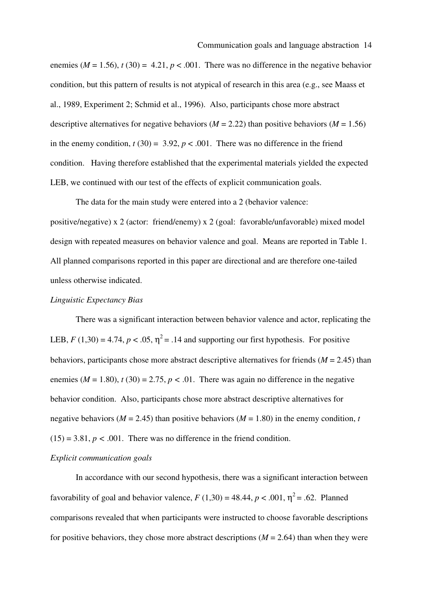enemies ( $M = 1.56$ ),  $t(30) = 4.21$ ,  $p < .001$ . There was no difference in the negative behavior condition, but this pattern of results is not atypical of research in this area (e.g., see Maass et al., 1989, Experiment 2; Schmid et al., 1996). Also, participants chose more abstract descriptive alternatives for negative behaviors ( $M = 2.22$ ) than positive behaviors ( $M = 1.56$ ) in the enemy condition,  $t(30) = 3.92$ ,  $p < .001$ . There was no difference in the friend condition. Having therefore established that the experimental materials yielded the expected LEB, we continued with our test of the effects of explicit communication goals.

 The data for the main study were entered into a 2 (behavior valence: positive/negative) x 2 (actor: friend/enemy) x 2 (goal: favorable/unfavorable) mixed model design with repeated measures on behavior valence and goal. Means are reported in Table 1. All planned comparisons reported in this paper are directional and are therefore one-tailed unless otherwise indicated.

#### *Linguistic Expectancy Bias*

 There was a significant interaction between behavior valence and actor, replicating the LEB,  $F(1,30) = 4.74$ ,  $p < .05$ ,  $\eta^2 = .14$  and supporting our first hypothesis. For positive behaviors, participants chose more abstract descriptive alternatives for friends  $(M = 2.45)$  than enemies  $(M = 1.80)$ ,  $t(30) = 2.75$ ,  $p < .01$ . There was again no difference in the negative behavior condition. Also, participants chose more abstract descriptive alternatives for negative behaviors ( $M = 2.45$ ) than positive behaviors ( $M = 1.80$ ) in the enemy condition, *t*  $(15) = 3.81, p < .001$ . There was no difference in the friend condition.

#### *Explicit communication goals*

 In accordance with our second hypothesis, there was a significant interaction between favorability of goal and behavior valence,  $F(1,30) = 48.44$ ,  $p < .001$ ,  $\eta^2 = .62$ . Planned comparisons revealed that when participants were instructed to choose favorable descriptions for positive behaviors, they chose more abstract descriptions  $(M = 2.64)$  than when they were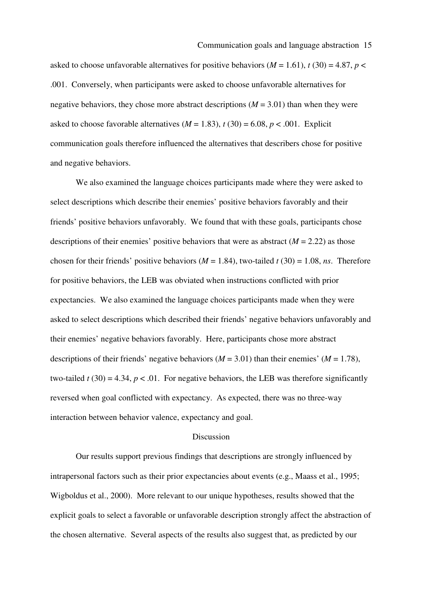asked to choose unfavorable alternatives for positive behaviors ( $M = 1.61$ ),  $t(30) = 4.87$ ,  $p <$ .001. Conversely, when participants were asked to choose unfavorable alternatives for negative behaviors, they chose more abstract descriptions (*M* = 3.01) than when they were asked to choose favorable alternatives  $(M = 1.83)$ ,  $t(30) = 6.08$ ,  $p < .001$ . Explicit communication goals therefore influenced the alternatives that describers chose for positive and negative behaviors.

 We also examined the language choices participants made where they were asked to select descriptions which describe their enemies' positive behaviors favorably and their friends' positive behaviors unfavorably. We found that with these goals, participants chose descriptions of their enemies' positive behaviors that were as abstract  $(M = 2.22)$  as those chosen for their friends' positive behaviors ( $M = 1.84$ ), two-tailed  $t(30) = 1.08$ , *ns*. Therefore for positive behaviors, the LEB was obviated when instructions conflicted with prior expectancies. We also examined the language choices participants made when they were asked to select descriptions which described their friends' negative behaviors unfavorably and their enemies' negative behaviors favorably. Here, participants chose more abstract descriptions of their friends' negative behaviors ( $M = 3.01$ ) than their enemies' ( $M = 1.78$ ), two-tailed  $t(30) = 4.34$ ,  $p < .01$ . For negative behaviors, the LEB was therefore significantly reversed when goal conflicted with expectancy. As expected, there was no three-way interaction between behavior valence, expectancy and goal.

#### Discussion

Our results support previous findings that descriptions are strongly influenced by intrapersonal factors such as their prior expectancies about events (e.g., Maass et al., 1995; Wigboldus et al., 2000). More relevant to our unique hypotheses, results showed that the explicit goals to select a favorable or unfavorable description strongly affect the abstraction of the chosen alternative. Several aspects of the results also suggest that, as predicted by our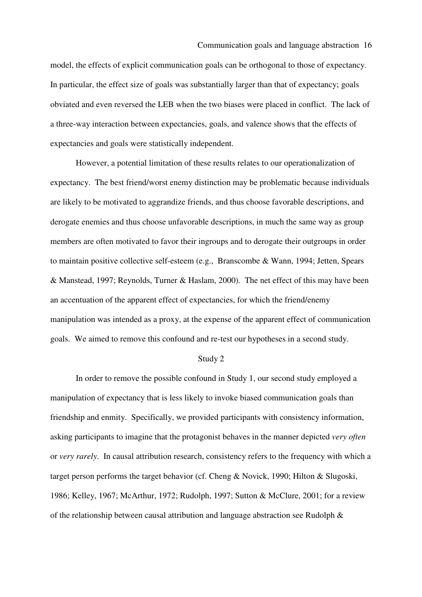model, the effects of explicit communication goals can be orthogonal to those of expectancy. In particular, the effect size of goals was substantially larger than that of expectancy; goals obviated and even reversed the LEB when the two biases were placed in conflict. The lack of a three-way interaction between expectancies, goals, and valence shows that the effects of expectancies and goals were statistically independent.

 However, a potential limitation of these results relates to our operationalization of expectancy. The best friend/worst enemy distinction may be problematic because individuals are likely to be motivated to aggrandize friends, and thus choose favorable descriptions, and derogate enemies and thus choose unfavorable descriptions, in much the same way as group members are often motivated to favor their ingroups and to derogate their outgroups in order to maintain positive collective self-esteem (e.g., Branscombe & Wann, 1994; Jetten, Spears & Manstead, 1997; Reynolds, Turner & Haslam, 2000). The net effect of this may have been an accentuation of the apparent effect of expectancies, for which the friend/enemy manipulation was intended as a proxy, at the expense of the apparent effect of communication goals. We aimed to remove this confound and re-test our hypotheses in a second study.

#### Study 2

In order to remove the possible confound in Study 1, our second study employed a manipulation of expectancy that is less likely to invoke biased communication goals than friendship and enmity. Specifically, we provided participants with consistency information, asking participants to imagine that the protagonist behaves in the manner depicted *very often* or *very rarely*. In causal attribution research, consistency refers to the frequency with which a target person performs the target behavior (cf. Cheng & Novick, 1990; Hilton & Slugoski, 1986; Kelley, 1967; McArthur, 1972; Rudolph, 1997; Sutton & McClure, 2001; for a review of the relationship between causal attribution and language abstraction see Rudolph &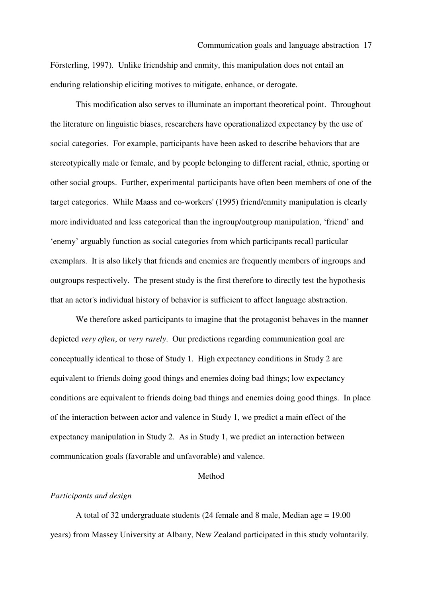Försterling, 1997). Unlike friendship and enmity, this manipulation does not entail an enduring relationship eliciting motives to mitigate, enhance, or derogate.

This modification also serves to illuminate an important theoretical point. Throughout the literature on linguistic biases, researchers have operationalized expectancy by the use of social categories. For example, participants have been asked to describe behaviors that are stereotypically male or female, and by people belonging to different racial, ethnic, sporting or other social groups. Further, experimental participants have often been members of one of the target categories. While Maass and co-workers' (1995) friend/enmity manipulation is clearly more individuated and less categorical than the ingroup/outgroup manipulation, 'friend' and 'enemy' arguably function as social categories from which participants recall particular exemplars. It is also likely that friends and enemies are frequently members of ingroups and outgroups respectively. The present study is the first therefore to directly test the hypothesis that an actor's individual history of behavior is sufficient to affect language abstraction.

We therefore asked participants to imagine that the protagonist behaves in the manner depicted *very often*, or *very rarely*. Our predictions regarding communication goal are conceptually identical to those of Study 1. High expectancy conditions in Study 2 are equivalent to friends doing good things and enemies doing bad things; low expectancy conditions are equivalent to friends doing bad things and enemies doing good things. In place of the interaction between actor and valence in Study 1, we predict a main effect of the expectancy manipulation in Study 2. As in Study 1, we predict an interaction between communication goals (favorable and unfavorable) and valence.

#### Method

#### *Participants and design*

A total of 32 undergraduate students (24 female and 8 male, Median age = 19.00 years) from Massey University at Albany, New Zealand participated in this study voluntarily.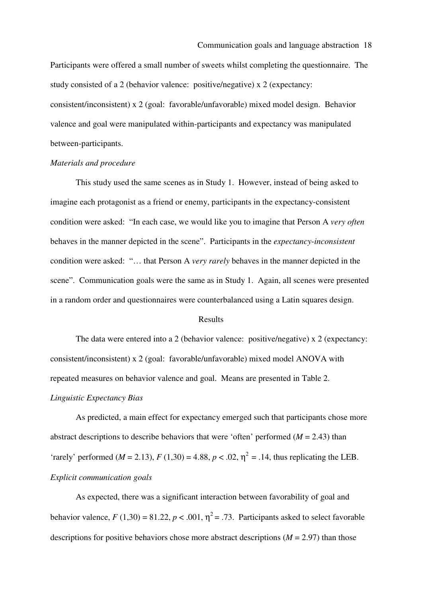Participants were offered a small number of sweets whilst completing the questionnaire. The study consisted of a 2 (behavior valence: positive/negative) x 2 (expectancy: consistent/inconsistent) x 2 (goal: favorable/unfavorable) mixed model design. Behavior valence and goal were manipulated within-participants and expectancy was manipulated between-participants.

#### *Materials and procedure*

This study used the same scenes as in Study 1. However, instead of being asked to imagine each protagonist as a friend or enemy, participants in the expectancy-consistent condition were asked: "In each case, we would like you to imagine that Person A *very often* behaves in the manner depicted in the scene". Participants in the *expectancy-inconsistent* condition were asked: "… that Person A *very rarely* behaves in the manner depicted in the scene". Communication goals were the same as in Study 1. Again, all scenes were presented in a random order and questionnaires were counterbalanced using a Latin squares design.

#### Results

 The data were entered into a 2 (behavior valence: positive/negative) x 2 (expectancy: consistent/inconsistent) x 2 (goal: favorable/unfavorable) mixed model ANOVA with repeated measures on behavior valence and goal. Means are presented in Table 2. *Linguistic Expectancy Bias* 

As predicted, a main effect for expectancy emerged such that participants chose more abstract descriptions to describe behaviors that were 'often' performed  $(M = 2.43)$  than 'rarely' performed ( $M = 2.13$ ),  $F(1,30) = 4.88$ ,  $p < .02$ ,  $\eta^2 = .14$ , thus replicating the LEB. *Explicit communication goals* 

As expected, there was a significant interaction between favorability of goal and behavior valence,  $F(1,30) = 81.22$ ,  $p < .001$ ,  $\eta^2 = .73$ . Participants asked to select favorable descriptions for positive behaviors chose more abstract descriptions  $(M = 2.97)$  than those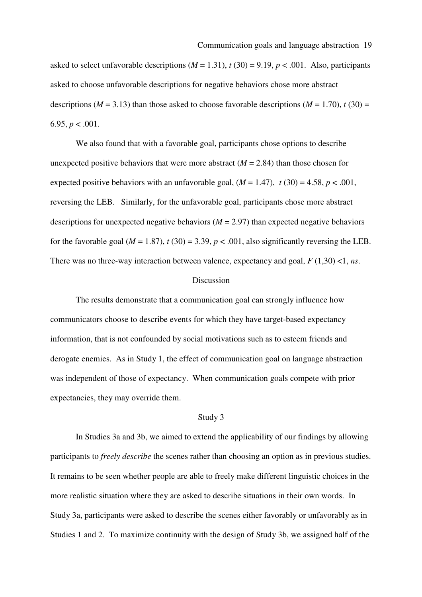asked to select unfavorable descriptions  $(M = 1.31)$ ,  $t(30) = 9.19$ ,  $p < .001$ . Also, participants asked to choose unfavorable descriptions for negative behaviors chose more abstract descriptions ( $M = 3.13$ ) than those asked to choose favorable descriptions ( $M = 1.70$ ),  $t(30) =$ 6.95,  $p < .001$ .

We also found that with a favorable goal, participants chose options to describe unexpected positive behaviors that were more abstract  $(M = 2.84)$  than those chosen for expected positive behaviors with an unfavorable goal,  $(M = 1.47)$ ,  $t(30) = 4.58$ ,  $p < .001$ , reversing the LEB. Similarly, for the unfavorable goal, participants chose more abstract descriptions for unexpected negative behaviors  $(M = 2.97)$  than expected negative behaviors for the favorable goal ( $M = 1.87$ ),  $t(30) = 3.39$ ,  $p < .001$ , also significantly reversing the LEB. There was no three-way interaction between valence, expectancy and goal, *F* (1,30) <1, *ns*.

#### Discussion

 The results demonstrate that a communication goal can strongly influence how communicators choose to describe events for which they have target-based expectancy information, that is not confounded by social motivations such as to esteem friends and derogate enemies. As in Study 1, the effect of communication goal on language abstraction was independent of those of expectancy. When communication goals compete with prior expectancies, they may override them.

#### Study 3

 In Studies 3a and 3b, we aimed to extend the applicability of our findings by allowing participants to *freely describe* the scenes rather than choosing an option as in previous studies. It remains to be seen whether people are able to freely make different linguistic choices in the more realistic situation where they are asked to describe situations in their own words. In Study 3a, participants were asked to describe the scenes either favorably or unfavorably as in Studies 1 and 2. To maximize continuity with the design of Study 3b, we assigned half of the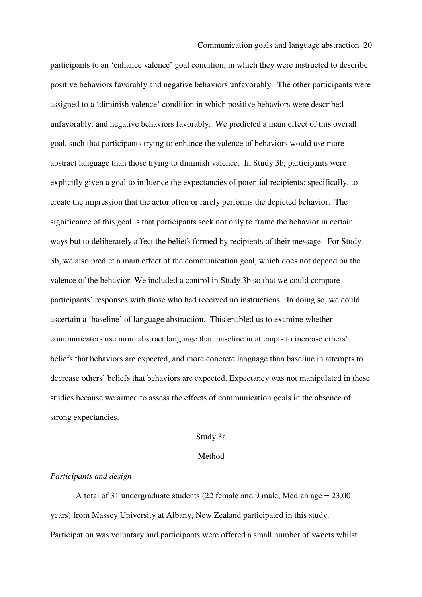participants to an 'enhance valence' goal condition, in which they were instructed to describe positive behaviors favorably and negative behaviors unfavorably. The other participants were assigned to a 'diminish valence' condition in which positive behaviors were described unfavorably, and negative behaviors favorably. We predicted a main effect of this overall goal, such that participants trying to enhance the valence of behaviors would use more abstract language than those trying to diminish valence. In Study 3b, participants were explicitly given a goal to influence the expectancies of potential recipients: specifically, to create the impression that the actor often or rarely performs the depicted behavior. The significance of this goal is that participants seek not only to frame the behavior in certain ways but to deliberately affect the beliefs formed by recipients of their message. For Study 3b, we also predict a main effect of the communication goal, which does not depend on the valence of the behavior. We included a control in Study 3b so that we could compare participants' responses with those who had received no instructions. In doing so, we could ascertain a 'baseline' of language abstraction. This enabled us to examine whether communicators use more abstract language than baseline in attempts to increase others' beliefs that behaviors are expected, and more concrete language than baseline in attempts to decrease others' beliefs that behaviors are expected. Expectancy was not manipulated in these studies because we aimed to assess the effects of communication goals in the absence of strong expectancies.

#### Study 3a

#### Method

#### *Participants and design*

 A total of 31 undergraduate students (22 female and 9 male, Median age = 23.00 years) from Massey University at Albany, New Zealand participated in this study. Participation was voluntary and participants were offered a small number of sweets whilst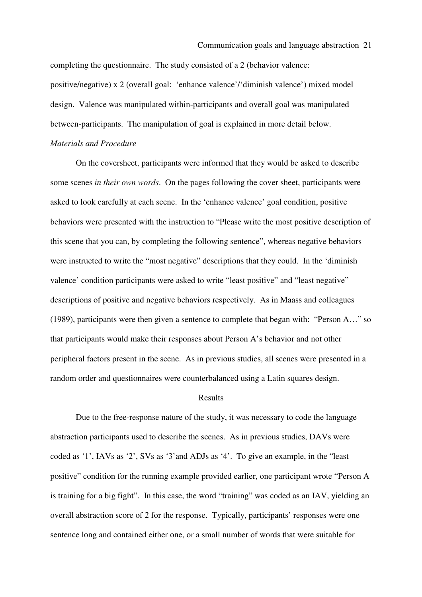completing the questionnaire. The study consisted of a 2 (behavior valence: positive/negative) x 2 (overall goal: 'enhance valence'/'diminish valence') mixed model design. Valence was manipulated within-participants and overall goal was manipulated between-participants. The manipulation of goal is explained in more detail below.

#### *Materials and Procedure*

On the coversheet, participants were informed that they would be asked to describe some scenes *in their own words*. On the pages following the cover sheet, participants were asked to look carefully at each scene. In the 'enhance valence' goal condition, positive behaviors were presented with the instruction to "Please write the most positive description of this scene that you can, by completing the following sentence", whereas negative behaviors were instructed to write the "most negative" descriptions that they could. In the 'diminish valence' condition participants were asked to write "least positive" and "least negative" descriptions of positive and negative behaviors respectively. As in Maass and colleagues (1989), participants were then given a sentence to complete that began with: "Person A…" so that participants would make their responses about Person A's behavior and not other peripheral factors present in the scene. As in previous studies, all scenes were presented in a random order and questionnaires were counterbalanced using a Latin squares design.

#### Results

 Due to the free-response nature of the study, it was necessary to code the language abstraction participants used to describe the scenes. As in previous studies, DAVs were coded as '1', IAVs as '2', SVs as '3'and ADJs as '4'. To give an example, in the "least positive" condition for the running example provided earlier, one participant wrote "Person A is training for a big fight". In this case, the word "training" was coded as an IAV, yielding an overall abstraction score of 2 for the response. Typically, participants' responses were one sentence long and contained either one, or a small number of words that were suitable for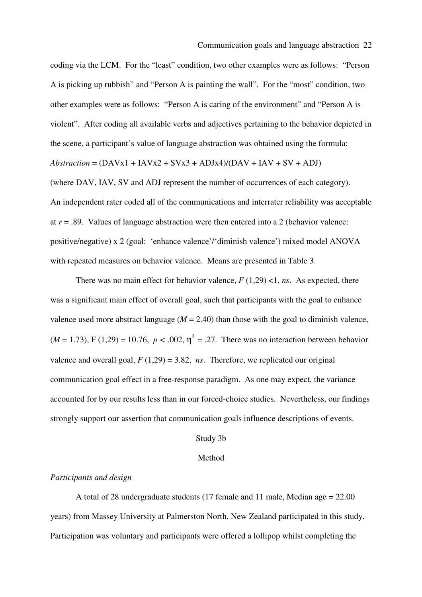coding via the LCM. For the "least" condition, two other examples were as follows: "Person A is picking up rubbish" and "Person A is painting the wall". For the "most" condition, two other examples were as follows: "Person A is caring of the environment" and "Person A is violent". After coding all available verbs and adjectives pertaining to the behavior depicted in the scene, a participant's value of language abstraction was obtained using the formula:  $Abstraction = (DAVx1 + IAVx2 + SVx3 + ADJx4)/(DAV + IAV + SV + ADJ)$ 

(where DAV, IAV, SV and ADJ represent the number of occurrences of each category). An independent rater coded all of the communications and interrater reliability was acceptable at  $r = .89$ . Values of language abstraction were then entered into a 2 (behavior valence: positive/negative) x 2 (goal: 'enhance valence'/'diminish valence') mixed model ANOVA with repeated measures on behavior valence. Means are presented in Table 3.

There was no main effect for behavior valence,  $F(1,29)$  <1, *ns*. As expected, there was a significant main effect of overall goal, such that participants with the goal to enhance valence used more abstract language  $(M = 2.40)$  than those with the goal to diminish valence,  $(M = 1.73)$ , F (1,29) = 10.76,  $p < .002$ ,  $\eta^2 = .27$ . There was no interaction between behavior valence and overall goal,  $F(1,29) = 3.82$ , *ns*. Therefore, we replicated our original communication goal effect in a free-response paradigm. As one may expect, the variance accounted for by our results less than in our forced-choice studies. Nevertheless, our findings strongly support our assertion that communication goals influence descriptions of events.

## Study 3b

#### Method

#### *Participants and design*

A total of 28 undergraduate students (17 female and 11 male, Median age = 22.00 years) from Massey University at Palmerston North, New Zealand participated in this study. Participation was voluntary and participants were offered a lollipop whilst completing the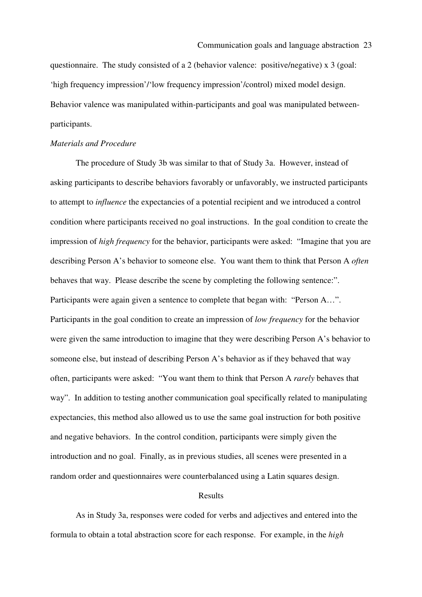questionnaire. The study consisted of a 2 (behavior valence: positive/negative) x 3 (goal: 'high frequency impression'/'low frequency impression'/control) mixed model design. Behavior valence was manipulated within-participants and goal was manipulated betweenparticipants.

#### *Materials and Procedure*

The procedure of Study 3b was similar to that of Study 3a. However, instead of asking participants to describe behaviors favorably or unfavorably, we instructed participants to attempt to *influence* the expectancies of a potential recipient and we introduced a control condition where participants received no goal instructions. In the goal condition to create the impression of *high frequency* for the behavior, participants were asked: "Imagine that you are describing Person A's behavior to someone else. You want them to think that Person A *often* behaves that way. Please describe the scene by completing the following sentence:". Participants were again given a sentence to complete that began with: "Person A…". Participants in the goal condition to create an impression of *low frequency* for the behavior were given the same introduction to imagine that they were describing Person A's behavior to someone else, but instead of describing Person A's behavior as if they behaved that way often, participants were asked: "You want them to think that Person A *rarely* behaves that way". In addition to testing another communication goal specifically related to manipulating expectancies, this method also allowed us to use the same goal instruction for both positive and negative behaviors. In the control condition, participants were simply given the introduction and no goal. Finally, as in previous studies, all scenes were presented in a random order and questionnaires were counterbalanced using a Latin squares design.

#### Results

 As in Study 3a, responses were coded for verbs and adjectives and entered into the formula to obtain a total abstraction score for each response. For example, in the *high*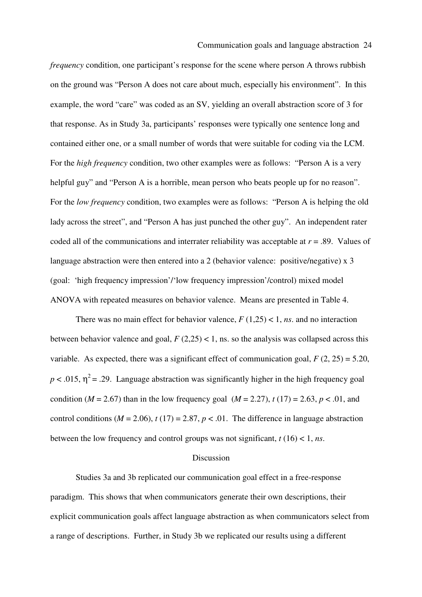#### Communication goals and language abstraction 24

*frequency* condition, one participant's response for the scene where person A throws rubbish on the ground was "Person A does not care about much, especially his environment". In this example, the word "care" was coded as an SV, yielding an overall abstraction score of 3 for that response. As in Study 3a, participants' responses were typically one sentence long and contained either one, or a small number of words that were suitable for coding via the LCM. For the *high frequency* condition, two other examples were as follows: "Person A is a very helpful guy" and "Person A is a horrible, mean person who beats people up for no reason". For the *low frequency* condition, two examples were as follows: "Person A is helping the old lady across the street", and "Person A has just punched the other guy". An independent rater coded all of the communications and interrater reliability was acceptable at *r* = .89. Values of language abstraction were then entered into a 2 (behavior valence: positive/negative) x 3 (goal: 'high frequency impression'/'low frequency impression'/control) mixed model ANOVA with repeated measures on behavior valence. Means are presented in Table 4.

There was no main effect for behavior valence,  $F(1,25) < 1$ , *ns*. and no interaction between behavior valence and goal,  $F(2,25) < 1$ , ns. so the analysis was collapsed across this variable. As expected, there was a significant effect of communication goal,  $F(2, 25) = 5.20$ ,  $p < .015$ ,  $\eta^2 = .29$ . Language abstraction was significantly higher in the high frequency goal condition ( $M = 2.67$ ) than in the low frequency goal ( $M = 2.27$ ),  $t(17) = 2.63$ ,  $p < .01$ , and control conditions ( $M = 2.06$ ),  $t(17) = 2.87$ ,  $p < .01$ . The difference in language abstraction between the low frequency and control groups was not significant, *t* (16) < 1, *ns*.

#### **Discussion**

 Studies 3a and 3b replicated our communication goal effect in a free-response paradigm. This shows that when communicators generate their own descriptions, their explicit communication goals affect language abstraction as when communicators select from a range of descriptions. Further, in Study 3b we replicated our results using a different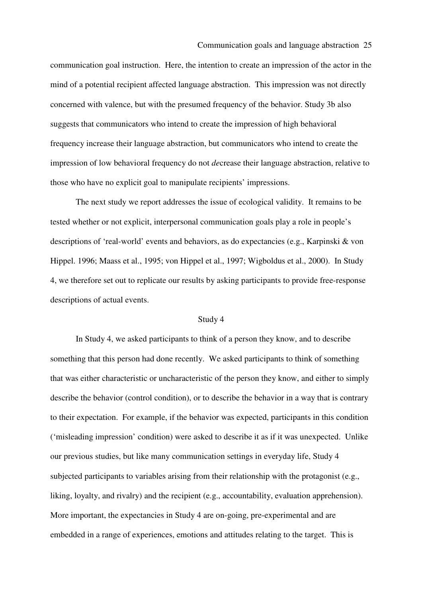#### Communication goals and language abstraction 25

communication goal instruction. Here, the intention to create an impression of the actor in the mind of a potential recipient affected language abstraction. This impression was not directly concerned with valence, but with the presumed frequency of the behavior. Study 3b also suggests that communicators who intend to create the impression of high behavioral frequency increase their language abstraction, but communicators who intend to create the impression of low behavioral frequency do not *de*crease their language abstraction, relative to those who have no explicit goal to manipulate recipients' impressions.

The next study we report addresses the issue of ecological validity. It remains to be tested whether or not explicit, interpersonal communication goals play a role in people's descriptions of 'real-world' events and behaviors, as do expectancies (e.g., Karpinski & von Hippel. 1996; Maass et al., 1995; von Hippel et al., 1997; Wigboldus et al., 2000). In Study 4, we therefore set out to replicate our results by asking participants to provide free-response descriptions of actual events.

#### Study 4

 In Study 4, we asked participants to think of a person they know, and to describe something that this person had done recently. We asked participants to think of something that was either characteristic or uncharacteristic of the person they know, and either to simply describe the behavior (control condition), or to describe the behavior in a way that is contrary to their expectation. For example, if the behavior was expected, participants in this condition ('misleading impression' condition) were asked to describe it as if it was unexpected. Unlike our previous studies, but like many communication settings in everyday life, Study 4 subjected participants to variables arising from their relationship with the protagonist (e.g., liking, loyalty, and rivalry) and the recipient (e.g., accountability, evaluation apprehension). More important, the expectancies in Study 4 are on-going, pre-experimental and are embedded in a range of experiences, emotions and attitudes relating to the target. This is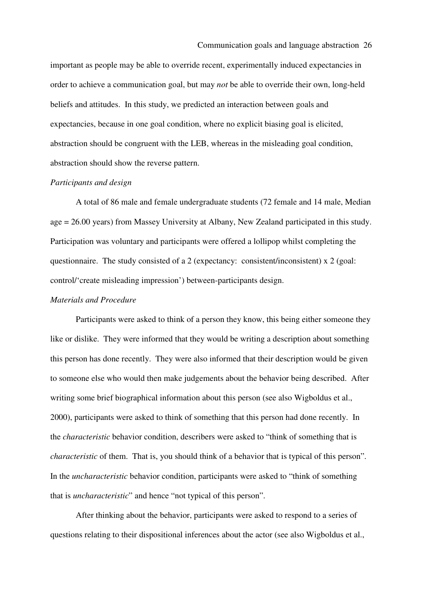important as people may be able to override recent, experimentally induced expectancies in order to achieve a communication goal, but may *not* be able to override their own, long-held beliefs and attitudes. In this study, we predicted an interaction between goals and expectancies, because in one goal condition, where no explicit biasing goal is elicited, abstraction should be congruent with the LEB, whereas in the misleading goal condition, abstraction should show the reverse pattern.

#### *Participants and design*

A total of 86 male and female undergraduate students (72 female and 14 male, Median age = 26.00 years) from Massey University at Albany, New Zealand participated in this study. Participation was voluntary and participants were offered a lollipop whilst completing the questionnaire. The study consisted of a 2 (expectancy: consistent/inconsistent) x 2 (goal: control/'create misleading impression') between-participants design.

#### *Materials and Procedure*

Participants were asked to think of a person they know, this being either someone they like or dislike. They were informed that they would be writing a description about something this person has done recently. They were also informed that their description would be given to someone else who would then make judgements about the behavior being described. After writing some brief biographical information about this person (see also Wigboldus et al., 2000), participants were asked to think of something that this person had done recently. In the *characteristic* behavior condition, describers were asked to "think of something that is *characteristic* of them. That is, you should think of a behavior that is typical of this person". In the *uncharacteristic* behavior condition, participants were asked to "think of something that is *uncharacteristic*" and hence "not typical of this person".

After thinking about the behavior, participants were asked to respond to a series of questions relating to their dispositional inferences about the actor (see also Wigboldus et al.,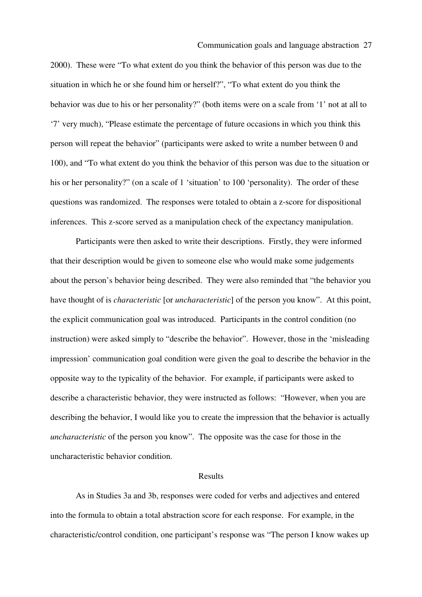#### Communication goals and language abstraction 27

2000). These were "To what extent do you think the behavior of this person was due to the situation in which he or she found him or herself?", "To what extent do you think the behavior was due to his or her personality?" (both items were on a scale from '1' not at all to '7' very much), "Please estimate the percentage of future occasions in which you think this person will repeat the behavior" (participants were asked to write a number between 0 and 100), and "To what extent do you think the behavior of this person was due to the situation or his or her personality?" (on a scale of 1 'situation' to 100 'personality). The order of these questions was randomized. The responses were totaled to obtain a z-score for dispositional inferences. This z-score served as a manipulation check of the expectancy manipulation.

Participants were then asked to write their descriptions. Firstly, they were informed that their description would be given to someone else who would make some judgements about the person's behavior being described. They were also reminded that "the behavior you have thought of is *characteristic* [or *uncharacteristic*] of the person you know". At this point, the explicit communication goal was introduced. Participants in the control condition (no instruction) were asked simply to "describe the behavior". However, those in the 'misleading impression' communication goal condition were given the goal to describe the behavior in the opposite way to the typicality of the behavior. For example, if participants were asked to describe a characteristic behavior, they were instructed as follows: "However, when you are describing the behavior, I would like you to create the impression that the behavior is actually *uncharacteristic* of the person you know". The opposite was the case for those in the uncharacteristic behavior condition.

#### Results

As in Studies 3a and 3b, responses were coded for verbs and adjectives and entered into the formula to obtain a total abstraction score for each response. For example, in the characteristic/control condition, one participant's response was "The person I know wakes up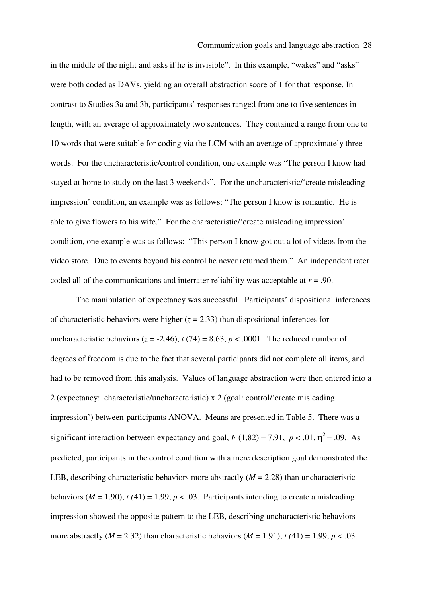in the middle of the night and asks if he is invisible". In this example, "wakes" and "asks" were both coded as DAVs, yielding an overall abstraction score of 1 for that response. In contrast to Studies 3a and 3b, participants' responses ranged from one to five sentences in length, with an average of approximately two sentences. They contained a range from one to 10 words that were suitable for coding via the LCM with an average of approximately three words. For the uncharacteristic/control condition, one example was "The person I know had stayed at home to study on the last 3 weekends". For the uncharacteristic/'create misleading impression' condition, an example was as follows: "The person I know is romantic. He is able to give flowers to his wife." For the characteristic/'create misleading impression' condition, one example was as follows: "This person I know got out a lot of videos from the video store. Due to events beyond his control he never returned them." An independent rater coded all of the communications and interrater reliability was acceptable at *r* = .90.

 The manipulation of expectancy was successful. Participants' dispositional inferences of characteristic behaviors were higher  $(z = 2.33)$  than dispositional inferences for uncharacteristic behaviors ( $z = -2.46$ ),  $t(74) = 8.63$ ,  $p < .0001$ . The reduced number of degrees of freedom is due to the fact that several participants did not complete all items, and had to be removed from this analysis. Values of language abstraction were then entered into a 2 (expectancy: characteristic/uncharacteristic) x 2 (goal: control/'create misleading impression') between-participants ANOVA. Means are presented in Table 5. There was a significant interaction between expectancy and goal,  $F(1,82) = 7.91$ ,  $p < .01$ ,  $\eta^2 = .09$ . As predicted, participants in the control condition with a mere description goal demonstrated the LEB, describing characteristic behaviors more abstractly  $(M = 2.28)$  than uncharacteristic behaviors ( $M = 1.90$ ),  $t(41) = 1.99$ ,  $p < .03$ . Participants intending to create a misleading impression showed the opposite pattern to the LEB, describing uncharacteristic behaviors more abstractly  $(M = 2.32)$  than characteristic behaviors  $(M = 1.91)$ ,  $t(41) = 1.99$ ,  $p < .03$ .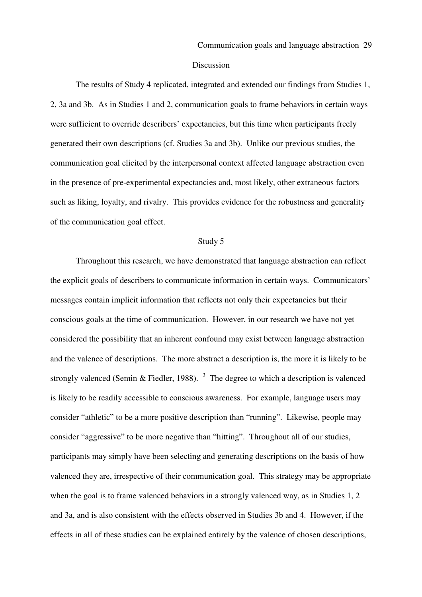#### Discussion

The results of Study 4 replicated, integrated and extended our findings from Studies 1, 2, 3a and 3b. As in Studies 1 and 2, communication goals to frame behaviors in certain ways were sufficient to override describers' expectancies, but this time when participants freely generated their own descriptions (cf. Studies 3a and 3b). Unlike our previous studies, the communication goal elicited by the interpersonal context affected language abstraction even in the presence of pre-experimental expectancies and, most likely, other extraneous factors such as liking, loyalty, and rivalry. This provides evidence for the robustness and generality of the communication goal effect.

#### Study 5

 Throughout this research, we have demonstrated that language abstraction can reflect the explicit goals of describers to communicate information in certain ways. Communicators' messages contain implicit information that reflects not only their expectancies but their conscious goals at the time of communication. However, in our research we have not yet considered the possibility that an inherent confound may exist between language abstraction and the valence of descriptions. The more abstract a description is, the more it is likely to be strongly valenced (Semin & Fiedler, 1988).  $3\overline{ }$  The degree to which a description is valenced is likely to be readily accessible to conscious awareness. For example, language users may consider "athletic" to be a more positive description than "running". Likewise, people may consider "aggressive" to be more negative than "hitting". Throughout all of our studies, participants may simply have been selecting and generating descriptions on the basis of how valenced they are, irrespective of their communication goal. This strategy may be appropriate when the goal is to frame valenced behaviors in a strongly valenced way, as in Studies 1, 2 and 3a, and is also consistent with the effects observed in Studies 3b and 4. However, if the effects in all of these studies can be explained entirely by the valence of chosen descriptions,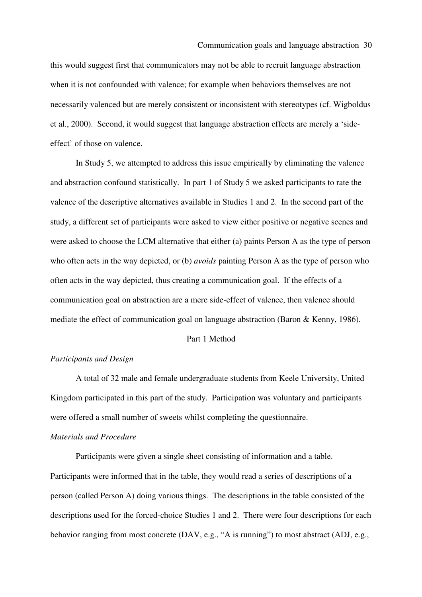this would suggest first that communicators may not be able to recruit language abstraction when it is not confounded with valence; for example when behaviors themselves are not necessarily valenced but are merely consistent or inconsistent with stereotypes (cf. Wigboldus et al., 2000). Second, it would suggest that language abstraction effects are merely a 'sideeffect' of those on valence.

 In Study 5, we attempted to address this issue empirically by eliminating the valence and abstraction confound statistically. In part 1 of Study 5 we asked participants to rate the valence of the descriptive alternatives available in Studies 1 and 2. In the second part of the study, a different set of participants were asked to view either positive or negative scenes and were asked to choose the LCM alternative that either (a) paints Person A as the type of person who often acts in the way depicted, or (b) *avoids* painting Person A as the type of person who often acts in the way depicted, thus creating a communication goal. If the effects of a communication goal on abstraction are a mere side-effect of valence, then valence should mediate the effect of communication goal on language abstraction (Baron & Kenny, 1986).

#### Part 1 Method

#### *Participants and Design*

A total of 32 male and female undergraduate students from Keele University, United Kingdom participated in this part of the study. Participation was voluntary and participants were offered a small number of sweets whilst completing the questionnaire.

#### *Materials and Procedure*

 Participants were given a single sheet consisting of information and a table. Participants were informed that in the table, they would read a series of descriptions of a person (called Person A) doing various things. The descriptions in the table consisted of the descriptions used for the forced-choice Studies 1 and 2. There were four descriptions for each behavior ranging from most concrete (DAV, e.g., "A is running") to most abstract (ADJ, e.g.,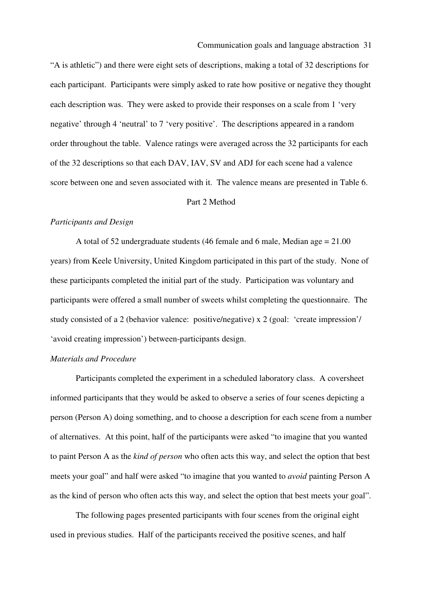"A is athletic") and there were eight sets of descriptions, making a total of 32 descriptions for each participant. Participants were simply asked to rate how positive or negative they thought each description was. They were asked to provide their responses on a scale from 1 'very negative' through 4 'neutral' to 7 'very positive'. The descriptions appeared in a random order throughout the table. Valence ratings were averaged across the 32 participants for each of the 32 descriptions so that each DAV, IAV, SV and ADJ for each scene had a valence score between one and seven associated with it. The valence means are presented in Table 6.

#### Part 2 Method

#### *Participants and Design*

A total of 52 undergraduate students (46 female and 6 male, Median age = 21.00 years) from Keele University, United Kingdom participated in this part of the study. None of these participants completed the initial part of the study. Participation was voluntary and participants were offered a small number of sweets whilst completing the questionnaire. The study consisted of a 2 (behavior valence: positive/negative) x 2 (goal: 'create impression'/ 'avoid creating impression') between-participants design.

#### *Materials and Procedure*

 Participants completed the experiment in a scheduled laboratory class. A coversheet informed participants that they would be asked to observe a series of four scenes depicting a person (Person A) doing something, and to choose a description for each scene from a number of alternatives. At this point, half of the participants were asked "to imagine that you wanted to paint Person A as the *kind of person* who often acts this way, and select the option that best meets your goal" and half were asked "to imagine that you wanted to *avoid* painting Person A as the kind of person who often acts this way, and select the option that best meets your goal".

 The following pages presented participants with four scenes from the original eight used in previous studies. Half of the participants received the positive scenes, and half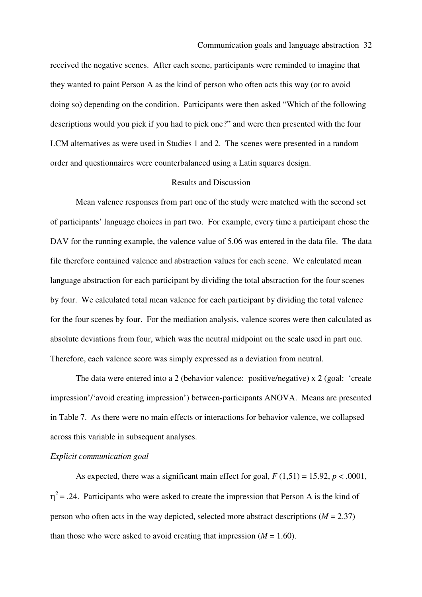#### Communication goals and language abstraction 32

received the negative scenes. After each scene, participants were reminded to imagine that they wanted to paint Person A as the kind of person who often acts this way (or to avoid doing so) depending on the condition. Participants were then asked "Which of the following descriptions would you pick if you had to pick one?" and were then presented with the four LCM alternatives as were used in Studies 1 and 2. The scenes were presented in a random order and questionnaires were counterbalanced using a Latin squares design.

#### Results and Discussion

 Mean valence responses from part one of the study were matched with the second set of participants' language choices in part two. For example, every time a participant chose the DAV for the running example, the valence value of 5.06 was entered in the data file. The data file therefore contained valence and abstraction values for each scene. We calculated mean language abstraction for each participant by dividing the total abstraction for the four scenes by four. We calculated total mean valence for each participant by dividing the total valence for the four scenes by four. For the mediation analysis, valence scores were then calculated as absolute deviations from four, which was the neutral midpoint on the scale used in part one. Therefore, each valence score was simply expressed as a deviation from neutral.

The data were entered into a 2 (behavior valence: positive/negative) x 2 (goal: 'create impression'/'avoid creating impression') between-participants ANOVA. Means are presented in Table 7. As there were no main effects or interactions for behavior valence, we collapsed across this variable in subsequent analyses.

#### *Explicit communication goal*

As expected, there was a significant main effect for goal,  $F(1,51) = 15.92$ ,  $p < .0001$ ,  $\eta^2$  = .24. Participants who were asked to create the impression that Person A is the kind of person who often acts in the way depicted, selected more abstract descriptions  $(M = 2.37)$ than those who were asked to avoid creating that impression  $(M = 1.60)$ .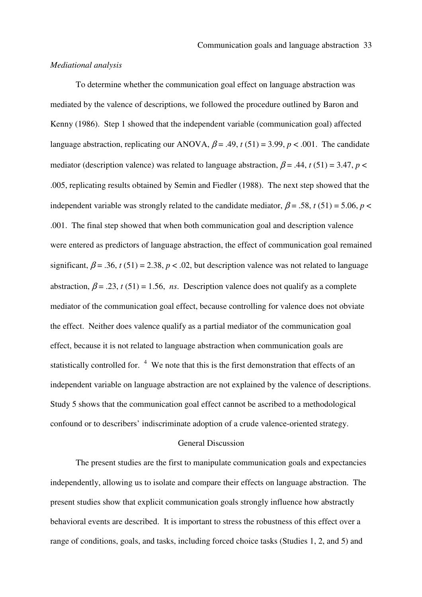#### *Mediational analysis*

 To determine whether the communication goal effect on language abstraction was mediated by the valence of descriptions, we followed the procedure outlined by Baron and Kenny (1986). Step 1 showed that the independent variable (communication goal) affected language abstraction, replicating our ANOVA,  $\beta$  = .49,  $t(51)$  = 3.99,  $p < .001$ . The candidate mediator (description valence) was related to language abstraction,  $\beta$  = .44, *t* (51) = 3.47, *p* < .005, replicating results obtained by Semin and Fiedler (1988). The next step showed that the independent variable was strongly related to the candidate mediator,  $\beta$  = .58, *t* (51) = 5.06, *p* < .001. The final step showed that when both communication goal and description valence were entered as predictors of language abstraction, the effect of communication goal remained significant,  $\beta = .36$ ,  $t(51) = 2.38$ ,  $p < .02$ , but description valence was not related to language abstraction,  $\beta$  = .23, *t* (51) = 1.56, *ns*. Description valence does not qualify as a complete mediator of the communication goal effect, because controlling for valence does not obviate the effect. Neither does valence qualify as a partial mediator of the communication goal effect, because it is not related to language abstraction when communication goals are statistically controlled for.  $4\text{ }$  We note that this is the first demonstration that effects of an independent variable on language abstraction are not explained by the valence of descriptions. Study 5 shows that the communication goal effect cannot be ascribed to a methodological confound or to describers' indiscriminate adoption of a crude valence-oriented strategy.

#### General Discussion

The present studies are the first to manipulate communication goals and expectancies independently, allowing us to isolate and compare their effects on language abstraction. The present studies show that explicit communication goals strongly influence how abstractly behavioral events are described. It is important to stress the robustness of this effect over a range of conditions, goals, and tasks, including forced choice tasks (Studies 1, 2, and 5) and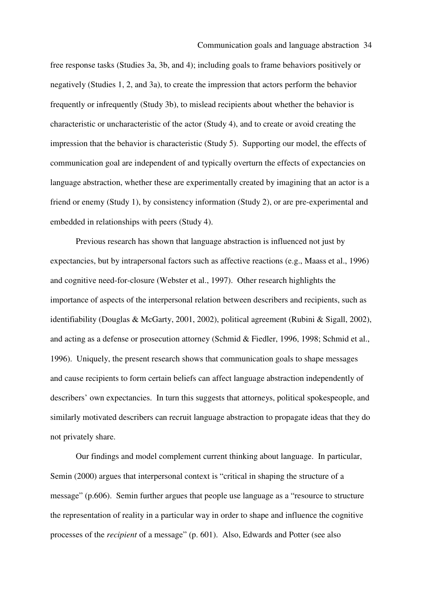free response tasks (Studies 3a, 3b, and 4); including goals to frame behaviors positively or negatively (Studies 1, 2, and 3a), to create the impression that actors perform the behavior frequently or infrequently (Study 3b), to mislead recipients about whether the behavior is characteristic or uncharacteristic of the actor (Study 4), and to create or avoid creating the impression that the behavior is characteristic (Study 5). Supporting our model, the effects of communication goal are independent of and typically overturn the effects of expectancies on language abstraction, whether these are experimentally created by imagining that an actor is a friend or enemy (Study 1), by consistency information (Study 2), or are pre-experimental and embedded in relationships with peers (Study 4).

 Previous research has shown that language abstraction is influenced not just by expectancies, but by intrapersonal factors such as affective reactions (e.g., Maass et al., 1996) and cognitive need-for-closure (Webster et al., 1997). Other research highlights the importance of aspects of the interpersonal relation between describers and recipients, such as identifiability (Douglas & McGarty, 2001, 2002), political agreement (Rubini & Sigall, 2002), and acting as a defense or prosecution attorney (Schmid & Fiedler, 1996, 1998; Schmid et al., 1996). Uniquely, the present research shows that communication goals to shape messages and cause recipients to form certain beliefs can affect language abstraction independently of describers' own expectancies. In turn this suggests that attorneys, political spokespeople, and similarly motivated describers can recruit language abstraction to propagate ideas that they do not privately share.

Our findings and model complement current thinking about language. In particular, Semin (2000) argues that interpersonal context is "critical in shaping the structure of a message" (p.606). Semin further argues that people use language as a "resource to structure the representation of reality in a particular way in order to shape and influence the cognitive processes of the *recipient* of a message" (p. 601). Also, Edwards and Potter (see also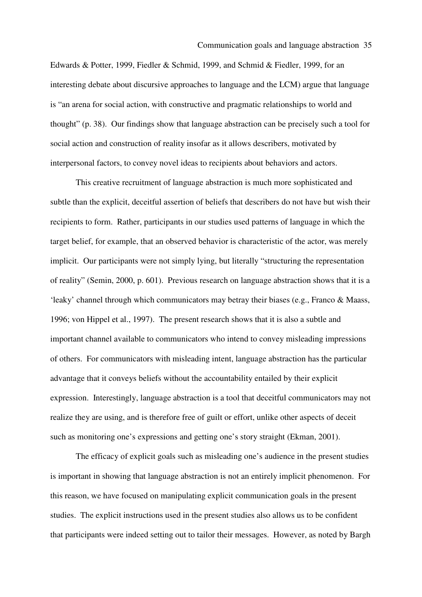Edwards & Potter, 1999, Fiedler & Schmid, 1999, and Schmid & Fiedler, 1999, for an interesting debate about discursive approaches to language and the LCM) argue that language is "an arena for social action, with constructive and pragmatic relationships to world and thought" (p. 38). Our findings show that language abstraction can be precisely such a tool for social action and construction of reality insofar as it allows describers, motivated by interpersonal factors, to convey novel ideas to recipients about behaviors and actors.

This creative recruitment of language abstraction is much more sophisticated and subtle than the explicit, deceitful assertion of beliefs that describers do not have but wish their recipients to form. Rather, participants in our studies used patterns of language in which the target belief, for example, that an observed behavior is characteristic of the actor, was merely implicit. Our participants were not simply lying, but literally "structuring the representation of reality" (Semin, 2000, p. 601). Previous research on language abstraction shows that it is a 'leaky' channel through which communicators may betray their biases (e.g., Franco & Maass, 1996; von Hippel et al., 1997). The present research shows that it is also a subtle and important channel available to communicators who intend to convey misleading impressions of others. For communicators with misleading intent, language abstraction has the particular advantage that it conveys beliefs without the accountability entailed by their explicit expression. Interestingly, language abstraction is a tool that deceitful communicators may not realize they are using, and is therefore free of guilt or effort, unlike other aspects of deceit such as monitoring one's expressions and getting one's story straight (Ekman, 2001).

The efficacy of explicit goals such as misleading one's audience in the present studies is important in showing that language abstraction is not an entirely implicit phenomenon. For this reason, we have focused on manipulating explicit communication goals in the present studies. The explicit instructions used in the present studies also allows us to be confident that participants were indeed setting out to tailor their messages. However, as noted by Bargh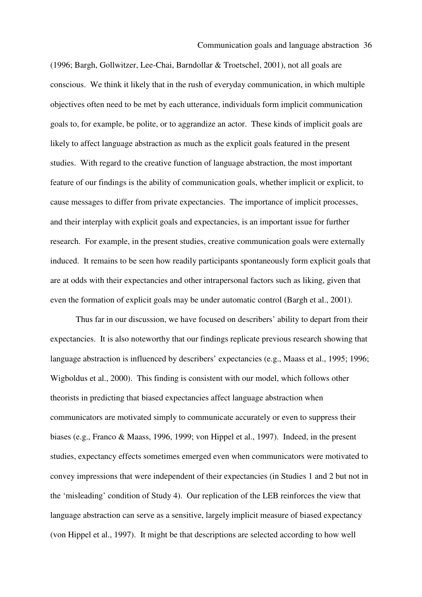(1996; Bargh, Gollwitzer, Lee-Chai, Barndollar & Troetschel, 2001), not all goals are conscious. We think it likely that in the rush of everyday communication, in which multiple objectives often need to be met by each utterance, individuals form implicit communication goals to, for example, be polite, or to aggrandize an actor. These kinds of implicit goals are likely to affect language abstraction as much as the explicit goals featured in the present studies. With regard to the creative function of language abstraction, the most important feature of our findings is the ability of communication goals, whether implicit or explicit, to cause messages to differ from private expectancies. The importance of implicit processes, and their interplay with explicit goals and expectancies, is an important issue for further research. For example, in the present studies, creative communication goals were externally induced. It remains to be seen how readily participants spontaneously form explicit goals that are at odds with their expectancies and other intrapersonal factors such as liking, given that even the formation of explicit goals may be under automatic control (Bargh et al., 2001).

Thus far in our discussion, we have focused on describers' ability to depart from their expectancies. It is also noteworthy that our findings replicate previous research showing that language abstraction is influenced by describers' expectancies (e.g., Maass et al., 1995; 1996; Wigboldus et al., 2000). This finding is consistent with our model, which follows other theorists in predicting that biased expectancies affect language abstraction when communicators are motivated simply to communicate accurately or even to suppress their biases (e.g., Franco & Maass, 1996, 1999; von Hippel et al., 1997). Indeed, in the present studies, expectancy effects sometimes emerged even when communicators were motivated to convey impressions that were independent of their expectancies (in Studies 1 and 2 but not in the 'misleading' condition of Study 4). Our replication of the LEB reinforces the view that language abstraction can serve as a sensitive, largely implicit measure of biased expectancy (von Hippel et al., 1997). It might be that descriptions are selected according to how well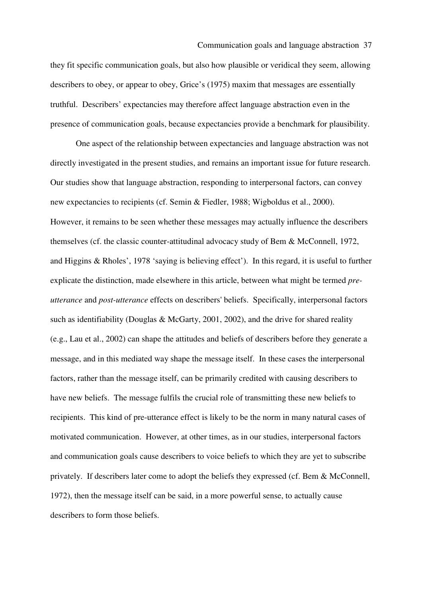#### Communication goals and language abstraction 37

they fit specific communication goals, but also how plausible or veridical they seem, allowing describers to obey, or appear to obey, Grice's (1975) maxim that messages are essentially truthful. Describers' expectancies may therefore affect language abstraction even in the presence of communication goals, because expectancies provide a benchmark for plausibility.

One aspect of the relationship between expectancies and language abstraction was not directly investigated in the present studies, and remains an important issue for future research. Our studies show that language abstraction, responding to interpersonal factors, can convey new expectancies to recipients (cf. Semin & Fiedler, 1988; Wigboldus et al., 2000). However, it remains to be seen whether these messages may actually influence the describers themselves (cf. the classic counter-attitudinal advocacy study of Bem & McConnell, 1972, and Higgins & Rholes', 1978 'saying is believing effect'). In this regard, it is useful to further explicate the distinction, made elsewhere in this article, between what might be termed *preutterance* and *post-utterance* effects on describers' beliefs. Specifically, interpersonal factors such as identifiability (Douglas & McGarty, 2001, 2002), and the drive for shared reality (e.g., Lau et al., 2002) can shape the attitudes and beliefs of describers before they generate a message, and in this mediated way shape the message itself. In these cases the interpersonal factors, rather than the message itself, can be primarily credited with causing describers to have new beliefs. The message fulfils the crucial role of transmitting these new beliefs to recipients. This kind of pre-utterance effect is likely to be the norm in many natural cases of motivated communication. However, at other times, as in our studies, interpersonal factors and communication goals cause describers to voice beliefs to which they are yet to subscribe privately. If describers later come to adopt the beliefs they expressed (cf. Bem & McConnell, 1972), then the message itself can be said, in a more powerful sense, to actually cause describers to form those beliefs.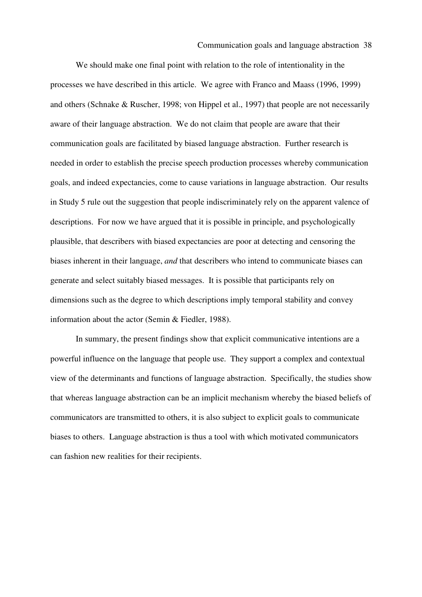We should make one final point with relation to the role of intentionality in the processes we have described in this article. We agree with Franco and Maass (1996, 1999) and others (Schnake & Ruscher, 1998; von Hippel et al., 1997) that people are not necessarily aware of their language abstraction. We do not claim that people are aware that their communication goals are facilitated by biased language abstraction. Further research is needed in order to establish the precise speech production processes whereby communication goals, and indeed expectancies, come to cause variations in language abstraction. Our results in Study 5 rule out the suggestion that people indiscriminately rely on the apparent valence of descriptions. For now we have argued that it is possible in principle, and psychologically plausible, that describers with biased expectancies are poor at detecting and censoring the biases inherent in their language, *and* that describers who intend to communicate biases can generate and select suitably biased messages. It is possible that participants rely on dimensions such as the degree to which descriptions imply temporal stability and convey information about the actor (Semin & Fiedler, 1988).

In summary, the present findings show that explicit communicative intentions are a powerful influence on the language that people use. They support a complex and contextual view of the determinants and functions of language abstraction. Specifically, the studies show that whereas language abstraction can be an implicit mechanism whereby the biased beliefs of communicators are transmitted to others, it is also subject to explicit goals to communicate biases to others. Language abstraction is thus a tool with which motivated communicators can fashion new realities for their recipients.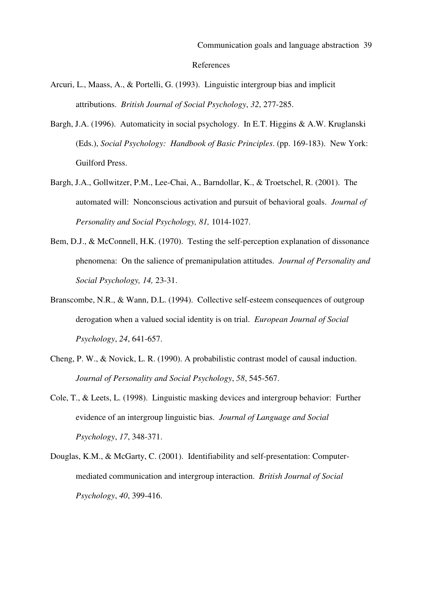- Arcuri, L., Maass, A., & Portelli, G. (1993). Linguistic intergroup bias and implicit attributions. *British Journal of Social Psychology*, *32*, 277-285.
- Bargh, J.A. (1996). Automaticity in social psychology. In E.T. Higgins & A.W. Kruglanski (Eds.), *Social Psychology: Handbook of Basic Principles*. (pp. 169-183). New York: Guilford Press.
- Bargh, J.A., Gollwitzer, P.M., Lee-Chai, A., Barndollar, K., & Troetschel, R. (2001). The automated will: Nonconscious activation and pursuit of behavioral goals. *Journal of Personality and Social Psychology, 81,* 1014-1027.
- Bem, D.J., & McConnell, H.K. (1970). Testing the self-perception explanation of dissonance phenomena: On the salience of premanipulation attitudes. *Journal of Personality and Social Psychology, 14,* 23-31.
- Branscombe, N.R., & Wann, D.L. (1994). Collective self-esteem consequences of outgroup derogation when a valued social identity is on trial. *European Journal of Social Psychology*, *24*, 641-657.
- Cheng, P. W., & Novick, L. R. (1990). A probabilistic contrast model of causal induction. *Journal of Personality and Social Psychology*, *58*, 545-567.
- Cole, T., & Leets, L. (1998). Linguistic masking devices and intergroup behavior: Further evidence of an intergroup linguistic bias. *Journal of Language and Social Psychology*, *17*, 348-371.
- Douglas, K.M., & McGarty, C. (2001). Identifiability and self-presentation: Computermediated communication and intergroup interaction. *British Journal of Social Psychology*, *40*, 399-416.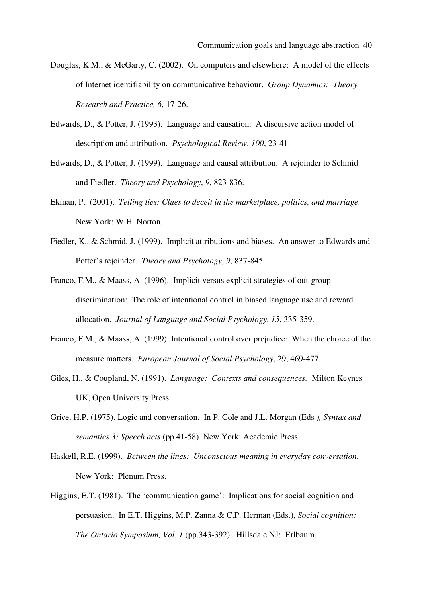- Douglas, K.M., & McGarty, C. (2002). On computers and elsewhere: A model of the effects of Internet identifiability on communicative behaviour. *Group Dynamics: Theory, Research and Practice, 6,* 17-26.
- Edwards, D., & Potter, J. (1993). Language and causation: A discursive action model of description and attribution. *Psychological Review*, *100*, 23-41.
- Edwards, D., & Potter, J. (1999). Language and causal attribution. A rejoinder to Schmid and Fiedler. *Theory and Psychology*, *9*, 823-836.
- Ekman, P. (2001). *Telling lies: Clues to deceit in the marketplace, politics, and marriage*. New York: W.H. Norton.
- Fiedler, K., & Schmid, J. (1999). Implicit attributions and biases. An answer to Edwards and Potter's rejoinder. *Theory and Psychology*, *9*, 837-845.
- Franco, F.M., & Maass, A. (1996). Implicit versus explicit strategies of out-group discrimination: The role of intentional control in biased language use and reward allocation. *Journal of Language and Social Psychology*, *15*, 335-359.
- Franco, F.M., & Maass, A. (1999). Intentional control over prejudice: When the choice of the measure matters. *European Journal of Social Psychology*, 29, 469-477.
- Giles, H., & Coupland, N. (1991). *Language: Contexts and consequences.* Milton Keynes UK, Open University Press.
- Grice, H.P. (1975). Logic and conversation. In P. Cole and J.L. Morgan (Eds*.), Syntax and semantics 3: Speech acts* (pp.41-58). New York: Academic Press.
- Haskell, R.E. (1999). *Between the lines: Unconscious meaning in everyday conversation*. New York: Plenum Press.
- Higgins, E.T. (1981). The 'communication game': Implications for social cognition and persuasion. In E.T. Higgins, M.P. Zanna & C.P. Herman (Eds.), *Social cognition: The Ontario Symposium, Vol. 1* (pp.343-392). Hillsdale NJ: Erlbaum.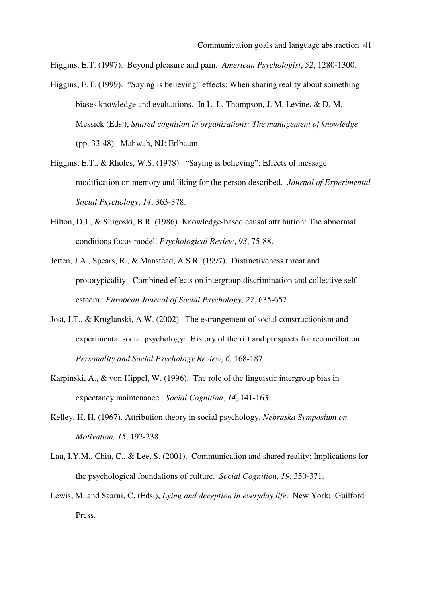Higgins, E.T. (1997). Beyond pleasure and pain. *American Psychologist*, *52*, 1280-1300.

- Higgins, E.T. (1999). "Saying is believing" effects: When sharing reality about something biases knowledge and evaluations. In L. L. Thompson, J. M. Levine, & D. M. Messick (Eds.), *Shared cognition in organizations: The management of knowledge*  (pp. 33-48). Mahwah, NJ: Erlbaum.
- Higgins, E.T., & Rholes, W.S. (1978). "Saying is believing": Effects of message modification on memory and liking for the person described. *Journal of Experimental Social Psychology*, *14*, 363-378.
- Hilton, D.J., & Slugoski, B.R. (1986). Knowledge-based causal attribution: The abnormal conditions focus model. *Psychological Review*, *93*, 75-88.
- Jetten, J.A., Spears, R., & Manstead, A.S.R. (1997). Distinctiveness threat and prototypicality: Combined effects on intergroup discrimination and collective selfesteem. *European Journal of Social Psychology*, *27*, 635-657.
- Jost, J.T., & Kruglanski, A.W. (2002). The estrangement of social constructionism and experimental social psychology: History of the rift and prospects for reconciliation. *Personality and Social Psychology Review, 6,* 168-187.
- Karpinski, A., & von Hippel, W. (1996). The role of the linguistic intergroup bias in expectancy maintenance. *Social Cognition*, *14*, 141-163.
- Kelley, H. H. (1967). Attribution theory in social psychology. *Nebraska Symposium on Motivation, 15*, 192-238.
- Lau, I.Y.M., Chiu, C., & Lee, S. (2001). Communication and shared reality: Implications for the psychological foundations of culture. *Social Cognition*, *19*, 350-371.
- Lewis, M. and Saarni, C. (Eds.), *Lying and deception in everyday life*. New York: Guilford Press.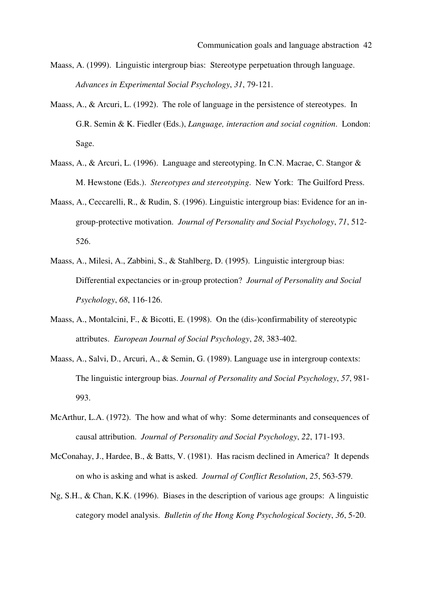- Maass, A. (1999). Linguistic intergroup bias: Stereotype perpetuation through language. *Advances in Experimental Social Psychology*, *31*, 79-121.
- Maass, A., & Arcuri, L. (1992). The role of language in the persistence of stereotypes. In G.R. Semin & K. Fiedler (Eds.), *Language, interaction and social cognition*. London: Sage.
- Maass, A., & Arcuri, L. (1996). Language and stereotyping. In C.N. Macrae, C. Stangor & M. Hewstone (Eds.). *Stereotypes and stereotyping*. New York: The Guilford Press.
- Maass, A., Ceccarelli, R., & Rudin, S. (1996). Linguistic intergroup bias: Evidence for an ingroup-protective motivation. *Journal of Personality and Social Psychology*, *71*, 512- 526.
- Maass, A., Milesi, A., Zabbini, S., & Stahlberg, D. (1995). Linguistic intergroup bias: Differential expectancies or in-group protection? *Journal of Personality and Social Psychology*, *68*, 116-126.
- Maass, A., Montalcini, F., & Bicotti, E. (1998). On the (dis-)confirmability of stereotypic attributes. *European Journal of Social Psychology*, *28*, 383-402.
- Maass, A., Salvi, D., Arcuri, A., & Semin, G. (1989). Language use in intergroup contexts: The linguistic intergroup bias. *Journal of Personality and Social Psychology*, *57*, 981- 993.
- McArthur, L.A. (1972). The how and what of why: Some determinants and consequences of causal attribution. *Journal of Personality and Social Psychology*, *22*, 171-193.
- McConahay, J., Hardee, B., & Batts, V. (1981). Has racism declined in America? It depends on who is asking and what is asked. *Journal of Conflict Resolution*, *25*, 563-579.
- Ng, S.H., & Chan, K.K. (1996). Biases in the description of various age groups: A linguistic category model analysis. *Bulletin of the Hong Kong Psychological Society*, *36*, 5-20.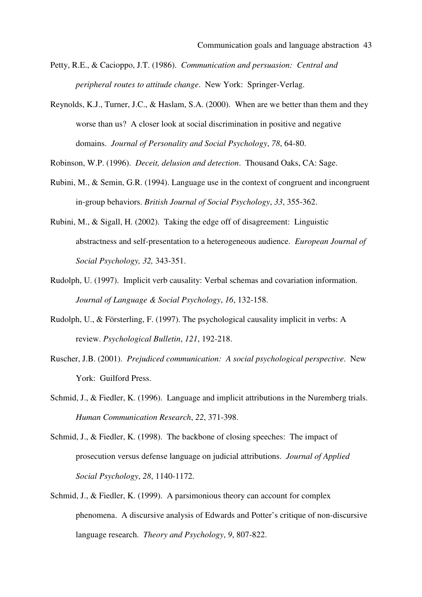- Petty, R.E., & Cacioppo, J.T. (1986). *Communication and persuasion: Central and peripheral routes to attitude change*. New York: Springer-Verlag.
- Reynolds, K.J., Turner, J.C., & Haslam, S.A. (2000). When are we better than them and they worse than us? A closer look at social discrimination in positive and negative domains. *Journal of Personality and Social Psychology*, *78*, 64-80.

Robinson, W.P. (1996). *Deceit, delusion and detection*. Thousand Oaks, CA: Sage.

- Rubini, M., & Semin, G.R. (1994). Language use in the context of congruent and incongruent in-group behaviors. *British Journal of Social Psychology*, *33*, 355-362.
- Rubini, M., & Sigall, H. (2002). Taking the edge off of disagreement: Linguistic abstractness and self-presentation to a heterogeneous audience. *European Journal of Social Psychology, 32,* 343-351.
- Rudolph, U. (1997). Implicit verb causality: Verbal schemas and covariation information. *Journal of Language & Social Psychology*, *16*, 132-158.
- Rudolph, U., & Försterling, F. (1997). The psychological causality implicit in verbs: A review. *Psychological Bulletin*, *121*, 192-218.
- Ruscher, J.B. (2001). *Prejudiced communication: A social psychological perspective*. New York: Guilford Press.
- Schmid, J., & Fiedler, K. (1996). Language and implicit attributions in the Nuremberg trials. *Human Communication Research*, *22*, 371-398.
- Schmid, J., & Fiedler, K. (1998). The backbone of closing speeches: The impact of prosecution versus defense language on judicial attributions. *Journal of Applied Social Psychology*, *28*, 1140-1172.
- Schmid, J., & Fiedler, K. (1999). A parsimonious theory can account for complex phenomena. A discursive analysis of Edwards and Potter's critique of non-discursive language research. *Theory and Psychology*, *9*, 807-822.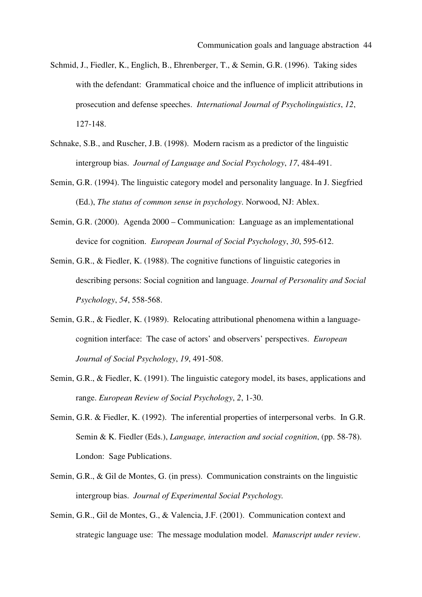- Schmid, J., Fiedler, K., Englich, B., Ehrenberger, T., & Semin, G.R. (1996). Taking sides with the defendant: Grammatical choice and the influence of implicit attributions in prosecution and defense speeches. *International Journal of Psycholinguistics*, *12*, 127-148.
- Schnake, S.B., and Ruscher, J.B. (1998). Modern racism as a predictor of the linguistic intergroup bias. *Journal of Language and Social Psychology*, *17*, 484-491.
- Semin, G.R. (1994). The linguistic category model and personality language. In J. Siegfried (Ed.), *The status of common sense in psychology*. Norwood, NJ: Ablex.
- Semin, G.R. (2000). Agenda 2000 Communication: Language as an implementational device for cognition. *European Journal of Social Psychology*, *30*, 595-612.
- Semin, G.R., & Fiedler, K. (1988). The cognitive functions of linguistic categories in describing persons: Social cognition and language. *Journal of Personality and Social Psychology*, *54*, 558-568.
- Semin, G.R., & Fiedler, K. (1989). Relocating attributional phenomena within a languagecognition interface: The case of actors' and observers' perspectives. *European Journal of Social Psychology*, *19*, 491-508.
- Semin, G.R., & Fiedler, K. (1991). The linguistic category model, its bases, applications and range. *European Review of Social Psychology*, *2*, 1-30.
- Semin, G.R. & Fiedler, K. (1992). The inferential properties of interpersonal verbs. In G.R. Semin & K. Fiedler (Eds.), *Language, interaction and social cognition*, (pp. 58-78). London: Sage Publications.
- Semin, G.R., & Gil de Montes, G. (in press). Communication constraints on the linguistic intergroup bias. *Journal of Experimental Social Psychology.*
- Semin, G.R., Gil de Montes, G., & Valencia, J.F. (2001). Communication context and strategic language use: The message modulation model. *Manuscript under review*.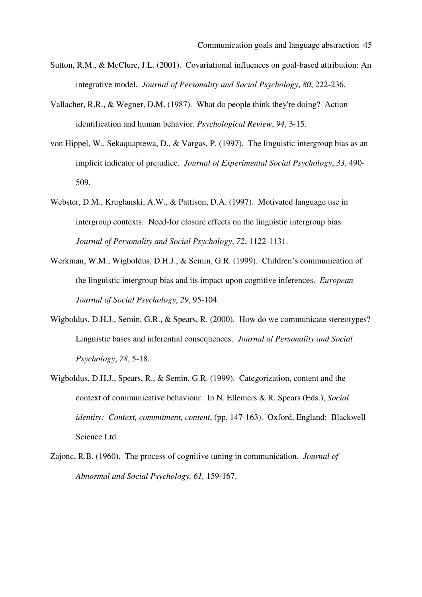- Sutton, R.M., & McClure, J.L. (2001). Covariational influences on goal-based attribution: An integrative model. *Journal of Personality and Social Psychology*, *80*, 222-236.
- Vallacher, R.R., & Wegner, D.M. (1987). What do people think they're doing? Action identification and human behavior. *Psychological Review*, *94*, 3-15.
- von Hippel, W., Sekaquaptewa, D., & Vargas, P. (1997). The linguistic intergroup bias as an implicit indicator of prejudice. *Journal of Experimental Social Psychology*, *33*, 490- 509.
- Webster, D.M., Kruglanski, A.W., & Pattison, D.A. (1997). Motivated language use in intergroup contexts: Need-for closure effects on the linguistic intergroup bias. *Journal of Personality and Social Psychology*, *72*, 1122-1131.
- Werkman, W.M., Wigboldus, D.H.J., & Semin, G.R. (1999). Children's communication of the linguistic intergroup bias and its impact upon cognitive inferences. *European Journal of Social Psychology*, *29*, 95-104.
- Wigboldus, D.H.J., Semin, G.R., & Spears, R. (2000). How do we communicate stereotypes? Linguistic bases and inferential consequences. *Journal of Personality and Social Psychology*, *78*, 5-18.
- Wigboldus, D.H.J., Spears, R., & Semin, G.R. (1999). Categorization, content and the context of communicative behaviour. In N. Ellemers & R. Spears (Eds.), *Social identity: Context, commitment, content*, (pp. 147-163). Oxford, England: Blackwell Science Ltd.
- Zajonc, R.B. (1960). The process of cognitive tuning in communication. *Journal of Abnormal and Social Psychology, 61,* 159-167.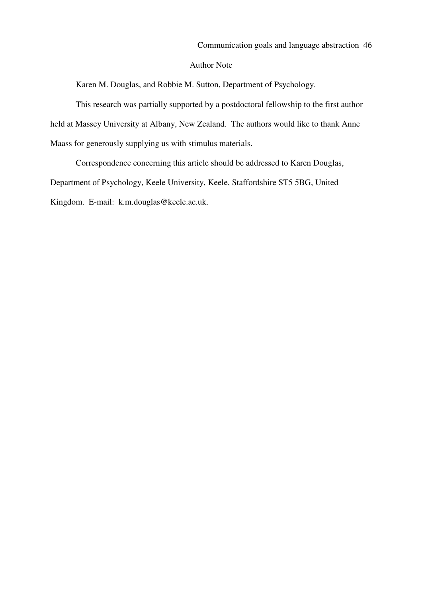#### Author Note

Karen M. Douglas, and Robbie M. Sutton, Department of Psychology.

This research was partially supported by a postdoctoral fellowship to the first author held at Massey University at Albany, New Zealand. The authors would like to thank Anne Maass for generously supplying us with stimulus materials.

Correspondence concerning this article should be addressed to Karen Douglas, Department of Psychology, Keele University, Keele, Staffordshire ST5 5BG, United Kingdom. E-mail: k.m.douglas@keele.ac.uk.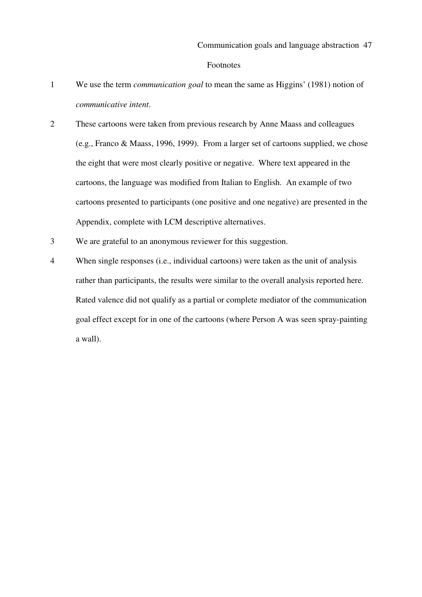#### Footnotes

- 1 We use the term *communication goal* to mean the same as Higgins' (1981) notion of *communicative intent*.
- 2 These cartoons were taken from previous research by Anne Maass and colleagues (e.g., Franco & Maass, 1996, 1999). From a larger set of cartoons supplied, we chose the eight that were most clearly positive or negative. Where text appeared in the cartoons, the language was modified from Italian to English. An example of two cartoons presented to participants (one positive and one negative) are presented in the Appendix, complete with LCM descriptive alternatives.
- 3 We are grateful to an anonymous reviewer for this suggestion.
- 4 When single responses (i.e., individual cartoons) were taken as the unit of analysis rather than participants, the results were similar to the overall analysis reported here. Rated valence did not qualify as a partial or complete mediator of the communication goal effect except for in one of the cartoons (where Person A was seen spray-painting a wall).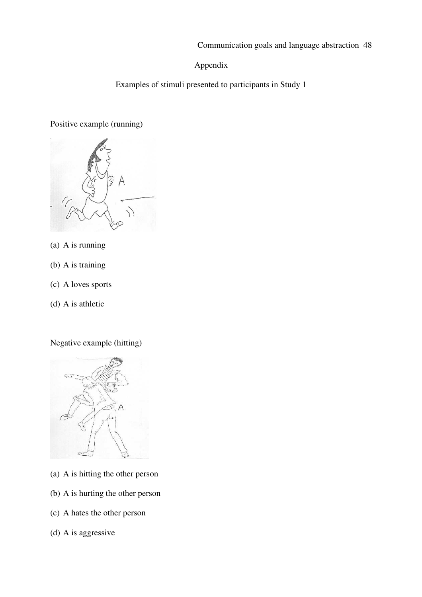Communication goals and language abstraction 48

# Appendix

Examples of stimuli presented to participants in Study 1

# Positive example (running)



- (a) A is running
- (b) A is training
- (c) A loves sports
- (d) A is athletic

Negative example (hitting)



- (a) A is hitting the other person
- (b) A is hurting the other person
- (c) A hates the other person
- (d) A is aggressive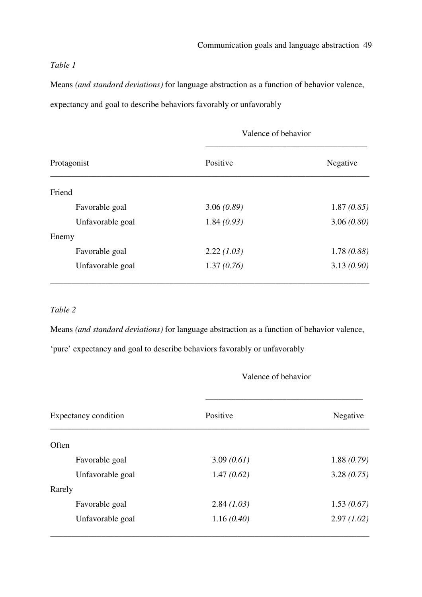# *Table 1*

Means *(and standard deviations)* for language abstraction as a function of behavior valence, expectancy and goal to describe behaviors favorably or unfavorably

| Protagonist      | Valence of behavior |            |
|------------------|---------------------|------------|
|                  | Positive            | Negative   |
| Friend           |                     |            |
| Favorable goal   | 3.06(0.89)          | 1.87(0.85) |
| Unfavorable goal | 1.84(0.93)          | 3.06(0.80) |
| Enemy            |                     |            |
| Favorable goal   | 2.22(1.03)          | 1.78(0.88) |
| Unfavorable goal | 1.37(0.76)          | 3.13(0.90) |

# *Table 2*

Means *(and standard deviations)* for language abstraction as a function of behavior valence,

'pure' expectancy and goal to describe behaviors favorably or unfavorably

## Valence of behavior

| Expectancy condition | Positive   | Negative   |  |
|----------------------|------------|------------|--|
| Often                |            |            |  |
| Favorable goal       | 3.09(0.61) | 1.88(0.79) |  |
| Unfavorable goal     | 1.47(0.62) | 3.28(0.75) |  |
| Rarely               |            |            |  |
| Favorable goal       | 2.84(1.03) | 1.53(0.67) |  |
| Unfavorable goal     | 1.16(0.40) | 2.97(1.02) |  |
|                      |            |            |  |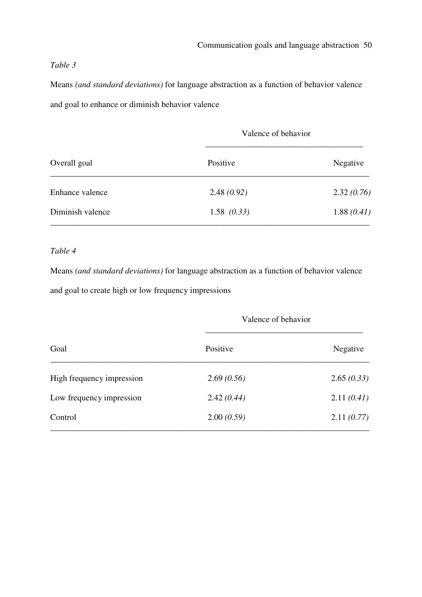## *Table 3*

Means *(and standard deviations)* for language abstraction as a function of behavior valence and goal to enhance or diminish behavior valence

| Overall goal     | Valence of behavior |            |
|------------------|---------------------|------------|
|                  | Positive            | Negative   |
| Enhance valence  | 2.48(0.92)          | 2.32(0.76) |
| Diminish valence | 1.58(0.33)          | 1.88(0.41) |

## *Table 4*

Means *(and standard deviations)* for language abstraction as a function of behavior valence and goal to create high or low frequency impressions

| Goal                      | Valence of behavior |            |
|---------------------------|---------------------|------------|
|                           | Positive            | Negative   |
| High frequency impression | 2.69(0.56)          | 2.65(0.33) |
| Low frequency impression  | 2.42(0.44)          | 2.11(0.41) |
| Control                   | 2.00(0.59)          | 2.11(0.77) |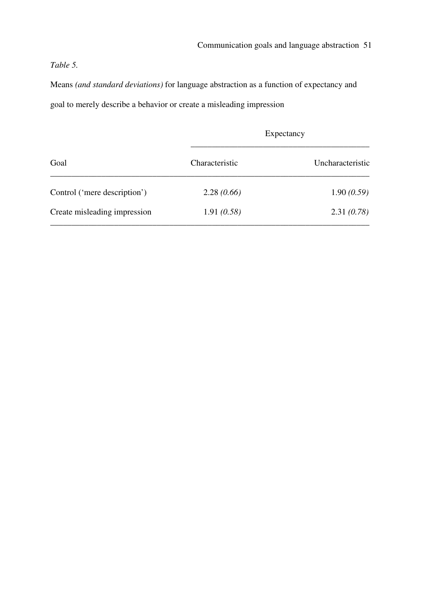# *Table 5.*

Means *(and standard deviations)* for language abstraction as a function of expectancy and goal to merely describe a behavior or create a misleading impression

| Goal                         | Expectancy     |                  |
|------------------------------|----------------|------------------|
|                              | Characteristic | Uncharacteristic |
| Control ('mere description') | 2.28(0.66)     | 1.90(0.59)       |
| Create misleading impression | 1.91(0.58)     | 2.31(0.78)       |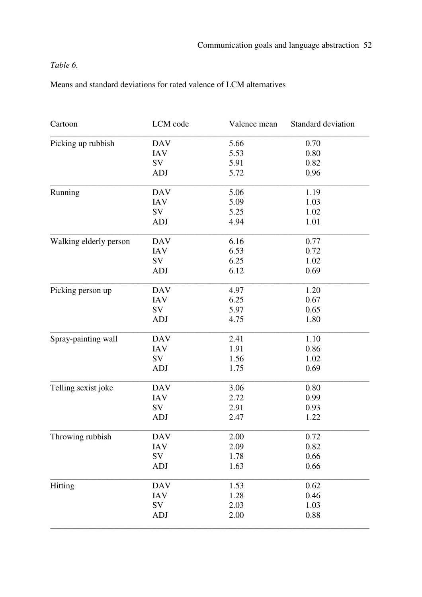# *Table 6.*

Means and standard deviations for rated valence of LCM alternatives

| Cartoon                | LCM code   | Valence mean | Standard deviation |
|------------------------|------------|--------------|--------------------|
| Picking up rubbish     | <b>DAV</b> | 5.66         | 0.70               |
|                        | <b>IAV</b> | 5.53         | 0.80               |
|                        | SV         | 5.91         | 0.82               |
|                        | <b>ADJ</b> | 5.72         | 0.96               |
| Running                | <b>DAV</b> | 5.06         | 1.19               |
|                        | <b>IAV</b> | 5.09         | 1.03               |
|                        | SV         | 5.25         | 1.02               |
|                        | <b>ADJ</b> | 4.94         | 1.01               |
| Walking elderly person | <b>DAV</b> | 6.16         | 0.77               |
|                        | <b>IAV</b> | 6.53         | 0.72               |
|                        | SV         | 6.25         | 1.02               |
|                        | <b>ADJ</b> | 6.12         | 0.69               |
| Picking person up      | <b>DAV</b> | 4.97         | 1.20               |
|                        | <b>IAV</b> | 6.25         | 0.67               |
|                        | SV         | 5.97         | 0.65               |
|                        | <b>ADJ</b> | 4.75         | 1.80               |
| Spray-painting wall    | <b>DAV</b> | 2.41         | 1.10               |
|                        | <b>IAV</b> | 1.91         | 0.86               |
|                        | SV         | 1.56         | 1.02               |
|                        | <b>ADJ</b> | 1.75         | 0.69               |
| Telling sexist joke    | <b>DAV</b> | 3.06         | 0.80               |
|                        | <b>IAV</b> | 2.72         | 0.99               |
|                        | SV         | 2.91         | 0.93               |
|                        | <b>ADJ</b> | 2.47         | 1.22               |
| Throwing rubbish       | <b>DAV</b> | 2.00         | 0.72               |
|                        | <b>IAV</b> | 2.09         | 0.82               |
|                        | SV         | 1.78         | 0.66               |
|                        | ADJ        | 1.63         | 0.66               |
| Hitting                | <b>DAV</b> | 1.53         | 0.62               |
|                        | <b>IAV</b> | 1.28         | 0.46               |
|                        | SV         | 2.03         | 1.03               |
|                        | <b>ADJ</b> | 2.00         | 0.88               |